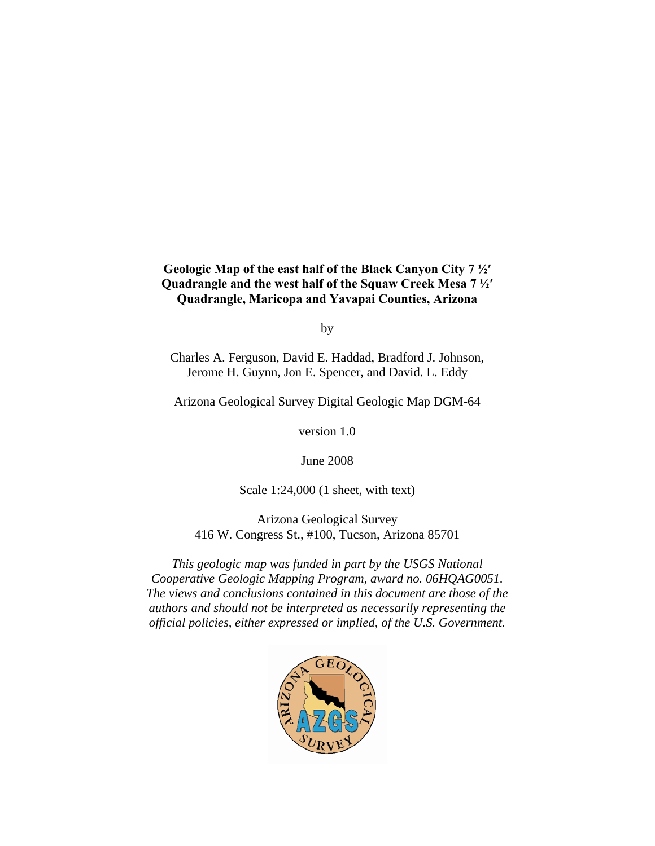## **Geologic Map of the east half of the Black Canyon City 7 ½′ Quadrangle and the west half of the Squaw Creek Mesa 7 ½′ Quadrangle, Maricopa and Yavapai Counties, Arizona**

by

Charles A. Ferguson, David E. Haddad, Bradford J. Johnson, Jerome H. Guynn, Jon E. Spencer, and David. L. Eddy

Arizona Geological Survey Digital Geologic Map DGM-64

version 1.0

June 2008

Scale 1:24,000 (1 sheet, with text)

Arizona Geological Survey 416 W. Congress St., #100, Tucson, Arizona 85701

*This geologic map was funded in part by the USGS National Cooperative Geologic Mapping Program, award no. 06HQAG0051. The views and conclusions contained in this document are those of the authors and should not be interpreted as necessarily representing the official policies, either expressed or implied, of the U.S. Government.* 

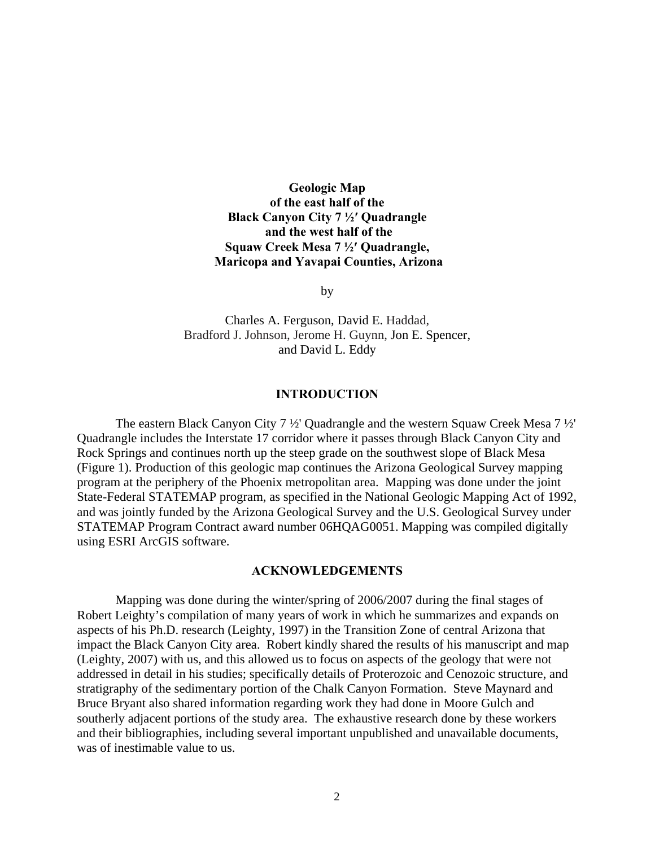**Geologic Map of the east half of the Black Canyon City 7 ½′ Quadrangle and the west half of the Squaw Creek Mesa 7 ½′ Quadrangle, Maricopa and Yavapai Counties, Arizona** 

by

Charles A. Ferguson, David E. Haddad, Bradford J. Johnson, Jerome H. Guynn, Jon E. Spencer, and David L. Eddy

### **INTRODUCTION**

The eastern Black Canyon City 7 ½' Quadrangle and the western Squaw Creek Mesa 7 ½' Quadrangle includes the Interstate 17 corridor where it passes through Black Canyon City and Rock Springs and continues north up the steep grade on the southwest slope of Black Mesa (Figure 1). Production of this geologic map continues the Arizona Geological Survey mapping program at the periphery of the Phoenix metropolitan area. Mapping was done under the joint State-Federal STATEMAP program, as specified in the National Geologic Mapping Act of 1992, and was jointly funded by the Arizona Geological Survey and the U.S. Geological Survey under STATEMAP Program Contract award number 06HQAG0051. Mapping was compiled digitally using ESRI ArcGIS software.

#### **ACKNOWLEDGEMENTS**

Mapping was done during the winter/spring of 2006/2007 during the final stages of Robert Leighty's compilation of many years of work in which he summarizes and expands on aspects of his Ph.D. research (Leighty, 1997) in the Transition Zone of central Arizona that impact the Black Canyon City area. Robert kindly shared the results of his manuscript and map (Leighty, 2007) with us, and this allowed us to focus on aspects of the geology that were not addressed in detail in his studies; specifically details of Proterozoic and Cenozoic structure, and stratigraphy of the sedimentary portion of the Chalk Canyon Formation. Steve Maynard and Bruce Bryant also shared information regarding work they had done in Moore Gulch and southerly adjacent portions of the study area. The exhaustive research done by these workers and their bibliographies, including several important unpublished and unavailable documents, was of inestimable value to us.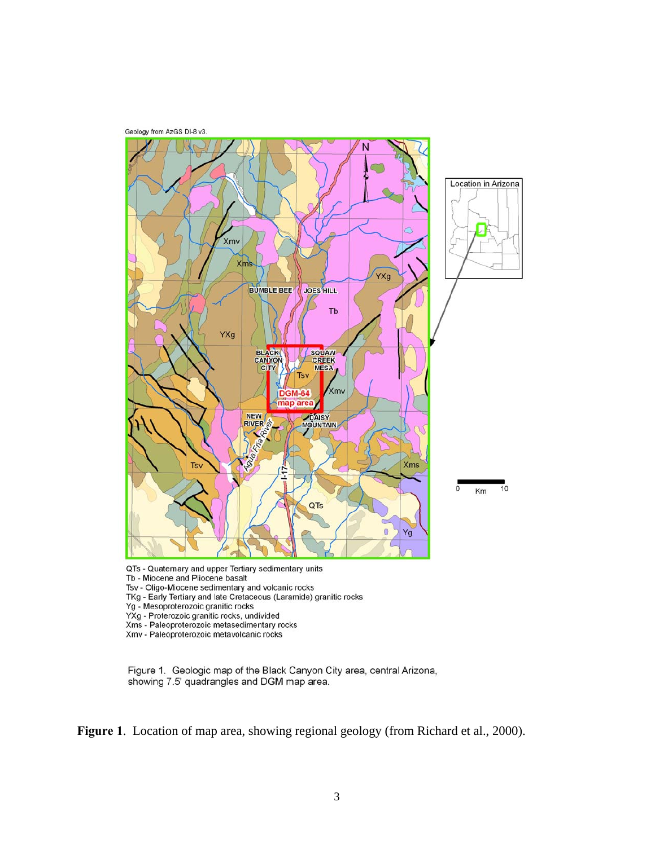

- TKg Early Tertiary and late Cretaceous (Laramide) granitic rocks
- Yg Mesoproterozoic granitic rocks
- YXg Proterozoic granitic rocks, undivided
- Xms Paleoproterozoic metasedimentary rocks
- Xmv Paleoproterozoic metavolcanic rocks



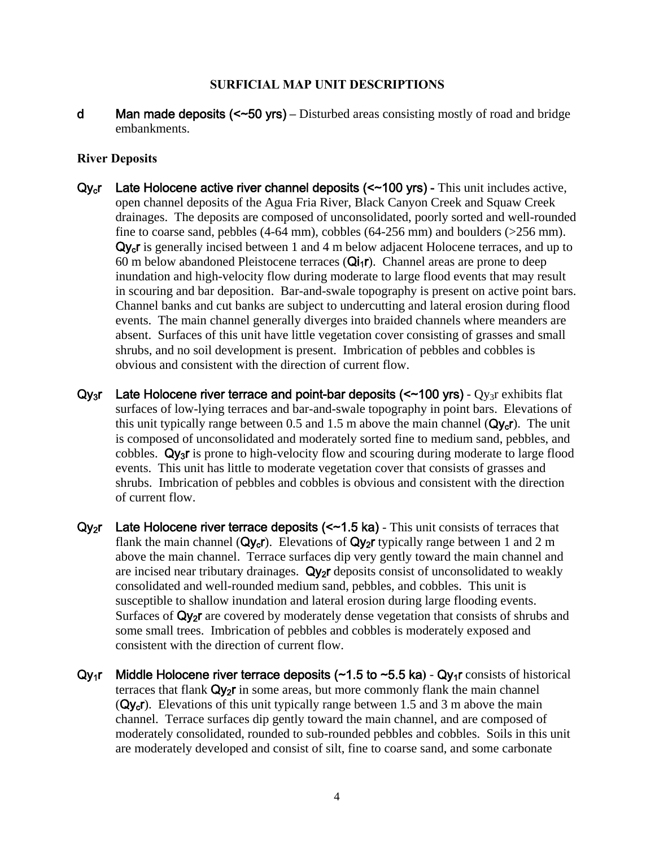## **SURFICIAL MAP UNIT DESCRIPTIONS**

dMan made deposits (<~50 yrs) **–** Disturbed areas consisting mostly of road and bridge embankments.

## **River Deposits**

- Qycr Late Holocene active river channel deposits (<~100 yrs)This unit includes active, open channel deposits of the Agua Fria River, Black Canyon Creek and Squaw Creek drainages. The deposits are composed of unconsolidated, poorly sorted and well-rounded fine to coarse sand, pebbles (4-64 mm), cobbles (64-256 mm) and boulders (>256 mm). Qy<sub>c</sub>r is generally incised between 1 and 4 m below adjacent Holocene terraces, and up to 60 m below abandoned Pleistocene terraces  $(Q_i|_1 r)$ . Channel areas are prone to deep inundation and high-velocity flow during moderate to large flood events that may result in scouring and bar deposition. Bar-and-swale topography is present on active point bars. Channel banks and cut banks are subject to undercutting and lateral erosion during flood events. The main channel generally diverges into braided channels where meanders are absent. Surfaces of this unit have little vegetation cover consisting of grasses and small shrubs, and no soil development is present. Imbrication of pebbles and cobbles is obvious and consistent with the direction of current flow.
- $Qy_3r$  Late Holocene river terrace and point-bar deposits ( $\leq$ -100 yrs)  $Qy_3r$  exhibits flat surfaces of low-lying terraces and bar-and-swale topography in point bars. Elevations of this unit typically range between 0.5 and 1.5 m above the main channel ( $Qv_c$ r). The unit is composed of unconsolidated and moderately sorted fine to medium sand, pebbles, and cobbles. Qy<sub>3</sub>r is prone to high-velocity flow and scouring during moderate to large flood events. This unit has little to moderate vegetation cover that consists of grasses and shrubs.Imbrication of pebbles and cobbles is obvious and consistent with the direction of current flow.
- $Qy_2$ r Late Holocene river terrace deposits  $(\leq 1.5 \text{ ka})$  This unit consists of terraces that flank the main channel ( $Qy_c$ r). Elevations of  $Qy_2$ r typically range between 1 and 2 m above the main channel. Terrace surfaces dip very gently toward the main channel and are incised near tributary drainages. Qy<sub>2</sub>r deposits consist of unconsolidated to weakly consolidated and well-rounded medium sand, pebbles, and cobbles. This unit is susceptible to shallow inundation and lateral erosion during large flooding events. Surfaces of Qy<sub>2</sub>r are covered by moderately dense vegetation that consists of shrubs and some small trees. Imbrication of pebbles and cobbles is moderately exposed and consistent with the direction of current flow.
- $Qy_1r$  Middle Holocene river terrace deposits ( $\sim$ 1.5 to  $\sim$ 5.5 ka)  $Qy_1r$  consists of historical terraces that flank Qy<sub>2</sub>r in some areas, but more commonly flank the main channel  $(Qy_c r)$ . Elevations of this unit typically range between 1.5 and 3 m above the main channel. Terrace surfaces dip gently toward the main channel, and are composed of moderately consolidated, rounded to sub-rounded pebbles and cobbles. Soils in this unit are moderately developed and consist of silt, fine to coarse sand, and some carbonate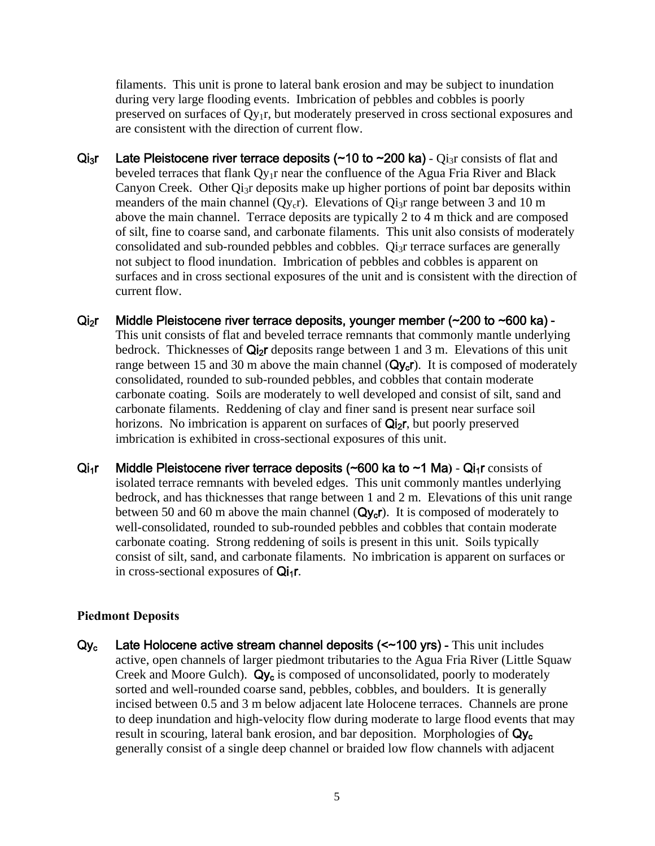filaments.This unit is prone to lateral bank erosion and may be subject to inundation during very large flooding events. Imbrication of pebbles and cobbles is poorly preserved on surfaces of  $Qy_1r$ , but moderately preserved in cross sectional exposures and are consistent with the direction of current flow.

- Qi<sub>3</sub>r Late Pleistocene river terrace deposits ( $\sim$ 10 to  $\sim$ 200 ka) Qi<sub>3</sub>r consists of flat and beveled terraces that flank  $Qy_1r$  near the confluence of the Agua Fria River and Black Canyon Creek. Other Qi<sub>3</sub>r deposits make up higher portions of point bar deposits within meanders of the main channel ( $Qy_c$ r). Elevations of  $Qi_3r$  range between 3 and 10 m above the main channel. Terrace deposits are typically 2 to 4 m thick and are composed of silt, fine to coarse sand, and carbonate filaments. This unit also consists of moderately consolidated and sub-rounded pebbles and cobbles. Qi<sub>3</sub>r terrace surfaces are generally not subject to flood inundation. Imbrication of pebbles and cobbles is apparent on surfaces and in cross sectional exposures of the unit and is consistent with the direction of current flow.
- Qi2r Middle Pleistocene river terrace deposits, younger member (~200 to ~600 ka) **-** This unit consists of flat and beveled terrace remnants that commonly mantle underlying bedrock. Thicknesses of  $\text{Qi}_{2}r$  deposits range between 1 and 3 m. Elevations of this unit range between 15 and 30 m above the main channel  $(Qy_c r)$ . It is composed of moderately consolidated, rounded to sub-rounded pebbles, and cobbles that contain moderate carbonate coating. Soils are moderately to well developed and consist of silt, sand and carbonate filaments. Reddening of clay and finer sand is present near surface soil horizons. No imbrication is apparent on surfaces of **Qi<sub>2</sub>r**, but poorly preserved imbrication is exhibited in cross-sectional exposures of this unit.
- Qi<sub>1</sub>r Middle Pleistocene river terrace deposits (~600 ka to ~1 Ma) Qi<sub>1</sub>r consists of isolated terrace remnants with beveled edges. This unit commonly mantles underlying bedrock, and has thicknesses that range between 1 and 2 m. Elevations of this unit range between 50 and 60 m above the main channel  $(Qy_c r)$ . It is composed of moderately to well-consolidated, rounded to sub-rounded pebbles and cobbles that contain moderate carbonate coating. Strong reddening of soils is present in this unit. Soils typically consist of silt, sand, and carbonate filaments. No imbrication is apparent on surfaces or in cross-sectional exposures of  $Q_{11}r$ .

## **Piedmont Deposits**

Qyc Late Holocene active stream channel deposits (<~100 yrs) **-** This unit includes active, open channels of larger piedmont tributaries to the Agua Fria River (Little Squaw Creek and Moore Gulch). Qy<sub>c</sub> is composed of unconsolidated, poorly to moderately sorted and well-rounded coarse sand, pebbles, cobbles, and boulders. It is generally incised between 0.5 and 3 m below adjacent late Holocene terraces. Channels are prone to deep inundation and high-velocity flow during moderate to large flood events that may result in scouring, lateral bank erosion, and bar deposition. Morphologies of Qy<sub>c</sub> generally consist of a single deep channel or braided low flow channels with adjacent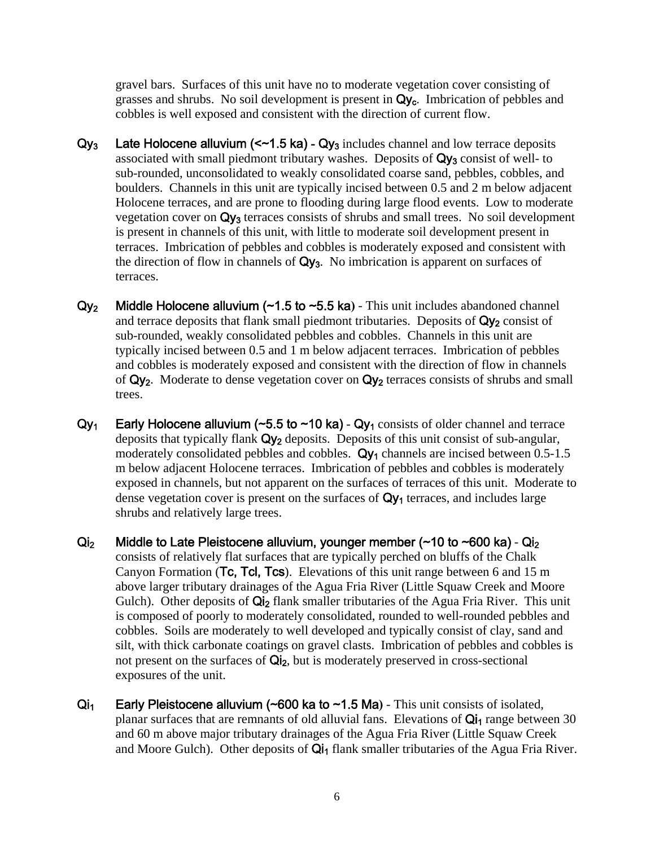gravel bars. Surfaces of this unit have no to moderate vegetation cover consisting of grasses and shrubs. No soil development is present in  $\mathbf{Qy_c}$ . Imbrication of pebbles and cobbles is well exposed and consistent with the direction of current flow.

- Qy<sub>3</sub> Late Holocene alluvium (<~1.5 ka) Qy<sub>3</sub> includes channel and low terrace deposits associated with small piedmont tributary washes. Deposits of  $\mathbf{Q}y_3$  consist of well- to sub-rounded, unconsolidated to weakly consolidated coarse sand, pebbles, cobbles, and boulders. Channels in this unit are typically incised between 0.5 and 2 m below adjacent Holocene terraces, and are prone to flooding during large flood events. Low to moderate vegetation cover on  $\mathbf{Q}y_3$  terraces consists of shrubs and small trees. No soil development is present in channels of this unit, with little to moderate soil development present in terraces. Imbrication of pebbles and cobbles is moderately exposed and consistent with the direction of flow in channels of  $\mathbf{Q}y_3$ . No imbrication is apparent on surfaces of terraces.
- Qy2 Middle Holocene alluvium (~1.5 to ~5.5 ka**)**  This unit includes abandoned channel and terrace deposits that flank small piedmont tributaries. Deposits of  $\mathbf{Q}y_2$  consist of sub-rounded, weakly consolidated pebbles and cobbles. Channels in this unit are typically incised between 0.5 and 1 m below adjacent terraces. Imbrication of pebbles and cobbles is moderately exposed and consistent with the direction of flow in channels of  $\mathbf{Qy_2}$ . Moderate to dense vegetation cover on  $\mathbf{Qy_2}$  terraces consists of shrubs and small trees.
- $Qy_1$  Early Holocene alluvium (~5.5 to ~10 ka)  $Qy_1$  consists of older channel and terrace deposits that typically flank  $\mathbf{Q}y_2$  deposits. Deposits of this unit consist of sub-angular, moderately consolidated pebbles and cobbles.  $Qy_1$  channels are incised between 0.5-1.5 m below adjacent Holocene terraces. Imbrication of pebbles and cobbles is moderately exposed in channels, but not apparent on the surfaces of terraces of this unit. Moderate to dense vegetation cover is present on the surfaces of  $\mathbf{Q}y_1$  terraces, and includes large shrubs and relatively large trees.
- $Qi<sub>2</sub>$  Middle to Late Pleistocene alluvium, younger member (~10 to ~600 ka)  $Qi<sub>2</sub>$ consists of relatively flat surfaces that are typically perched on bluffs of the Chalk Canyon Formation (Tc, Tcl, Tcs). Elevations of this unit range between 6 and 15 m above larger tributary drainages of the Agua Fria River (Little Squaw Creek and Moore Gulch). Other deposits of **Qi**<sub>2</sub> flank smaller tributaries of the Agua Fria River. This unit is composed of poorly to moderately consolidated, rounded to well-rounded pebbles and cobbles. Soils are moderately to well developed and typically consist of clay, sand and silt, with thick carbonate coatings on gravel clasts. Imbrication of pebbles and cobbles is not present on the surfaces of Qi2, but is moderately preserved in cross-sectional exposures of the unit.
- $Qi<sub>1</sub>$  Early Pleistocene alluvium (~600 ka to ~1.5 Ma) This unit consists of isolated, planar surfaces that are remnants of old alluvial fans. Elevations of  $Qi<sub>1</sub>$  range between 30 and 60 m above major tributary drainages of the Agua Fria River (Little Squaw Creek and Moore Gulch). Other deposits of  $Qi<sub>1</sub>$  flank smaller tributaries of the Agua Fria River.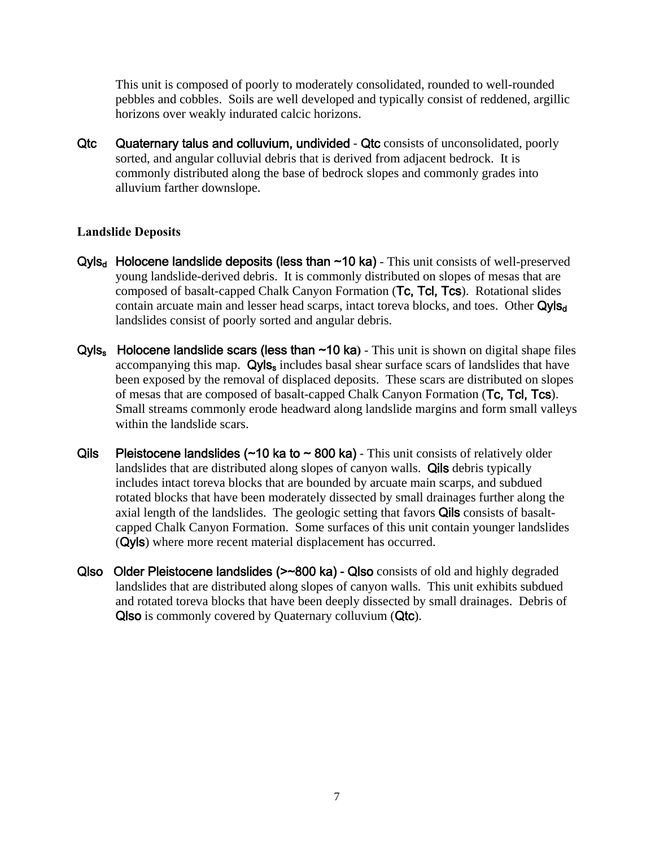This unit is composed of poorly to moderately consolidated, rounded to well-rounded pebbles and cobbles. Soils are well developed and typically consist of reddened, argillic horizons over weakly indurated calcic horizons.

Qtc Quaternary talus and colluvium, undivided - Qtc consists of unconsolidated, poorly sorted, and angular colluvial debris that is derived from adjacent bedrock. It is commonly distributed along the base of bedrock slopes and commonly grades into alluvium farther downslope.

# **Landslide Deposits**

- $QyIs<sub>d</sub>$  Holocene landslide deposits (less than  $\sim$ 10 ka) This unit consists of well-preserved young landslide-derived debris. It is commonly distributed on slopes of mesas that are composed of basalt-capped Chalk Canyon Formation (Tc, Tcl, Tcs). Rotational slides contain arcuate main and lesser head scarps, intact toreva blocks, and toes. Other Qyls<sub>d</sub> landslides consist of poorly sorted and angular debris.
- Qyls<sub>s</sub> Holocene landslide scars (less than ~10 ka) This unit is shown on digital shape files accompanying this map.  $Qyls_s$  includes basal shear surface scars of landslides that have been exposed by the removal of displaced deposits. These scars are distributed on slopes of mesas that are composed of basalt-capped Chalk Canyon Formation (Tc, Tcl, Tcs). Small streams commonly erode headward along landslide margins and form small valleys within the landslide scars.
- Qils Pleistocene landslides  $(\sim 10 \text{ ka to } \sim 800 \text{ ka})$  This unit consists of relatively older landslides that are distributed along slopes of canyon walls. Qils debris typically includes intact toreva blocks that are bounded by arcuate main scarps, and subdued rotated blocks that have been moderately dissected by small drainages further along the axial length of the landslides. The geologic setting that favors **Qils** consists of basaltcapped Chalk Canyon Formation. Some surfaces of this unit contain younger landslides (Qyls) where more recent material displacement has occurred.
- Qlso Older Pleistocene landslides (>~800 ka) **-** Qlso consists of old and highly degraded landslides that are distributed along slopes of canyon walls. This unit exhibits subdued and rotated toreva blocks that have been deeply dissected by small drainages. Debris of Qlso is commonly covered by Quaternary colluvium (Qtc).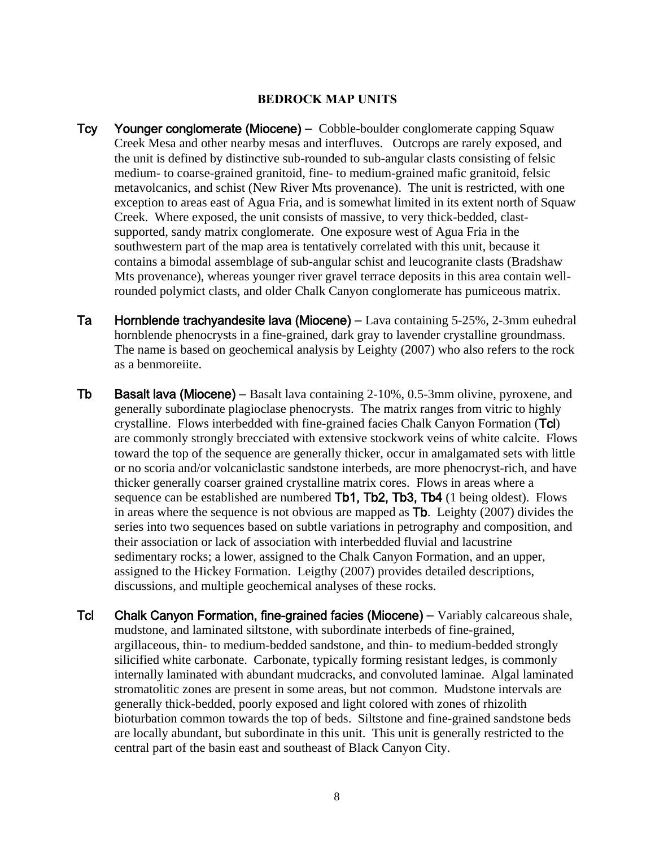## **BEDROCK MAP UNITS**

- Tcy Younger conglomerate (Miocene) Cobble-boulder conglomerate capping Squaw Creek Mesa and other nearby mesas and interfluves. Outcrops are rarely exposed, and the unit is defined by distinctive sub-rounded to sub-angular clasts consisting of felsic medium- to coarse-grained granitoid, fine- to medium-grained mafic granitoid, felsic metavolcanics, and schist (New River Mts provenance). The unit is restricted, with one exception to areas east of Agua Fria, and is somewhat limited in its extent north of Squaw Creek. Where exposed, the unit consists of massive, to very thick-bedded, clastsupported, sandy matrix conglomerate. One exposure west of Agua Fria in the southwestern part of the map area is tentatively correlated with this unit, because it contains a bimodal assemblage of sub-angular schist and leucogranite clasts (Bradshaw Mts provenance), whereas younger river gravel terrace deposits in this area contain wellrounded polymict clasts, and older Chalk Canyon conglomerate has pumiceous matrix.
- Ta Hornblende trachyandesite lava (Miocene) Lava containing 5-25%, 2-3mm euhedral hornblende phenocrysts in a fine-grained, dark gray to lavender crystalline groundmass. The name is based on geochemical analysis by Leighty (2007) who also refers to the rock as a benmoreiite.
- **Tb** Basalt lava (Miocene) Basalt lava containing  $2-10\%$ , 0.5-3mm olivine, pyroxene, and generally subordinate plagioclase phenocrysts. The matrix ranges from vitric to highly crystalline. Flows interbedded with fine-grained facies Chalk Canyon Formation (Tcl) are commonly strongly brecciated with extensive stockwork veins of white calcite. Flows toward the top of the sequence are generally thicker, occur in amalgamated sets with little or no scoria and/or volcaniclastic sandstone interbeds, are more phenocryst-rich, and have thicker generally coarser grained crystalline matrix cores. Flows in areas where a sequence can be established are numbered Tb1, Tb2, Tb3, Tb4 (1 being oldest). Flows in areas where the sequence is not obvious are mapped as Tb. Leighty (2007) divides the series into two sequences based on subtle variations in petrography and composition, and their association or lack of association with interbedded fluvial and lacustrine sedimentary rocks; a lower, assigned to the Chalk Canyon Formation, and an upper, assigned to the Hickey Formation. Leigthy (2007) provides detailed descriptions, discussions, and multiple geochemical analyses of these rocks.
- Tcl Chalk Canyon Formation, fine-grained facies (Miocene) Variably calcareous shale, mudstone, and laminated siltstone, with subordinate interbeds of fine-grained, argillaceous, thin- to medium-bedded sandstone, and thin- to medium-bedded strongly silicified white carbonate. Carbonate, typically forming resistant ledges, is commonly internally laminated with abundant mudcracks, and convoluted laminae. Algal laminated stromatolitic zones are present in some areas, but not common. Mudstone intervals are generally thick-bedded, poorly exposed and light colored with zones of rhizolith bioturbation common towards the top of beds. Siltstone and fine-grained sandstone beds are locally abundant, but subordinate in this unit. This unit is generally restricted to the central part of the basin east and southeast of Black Canyon City.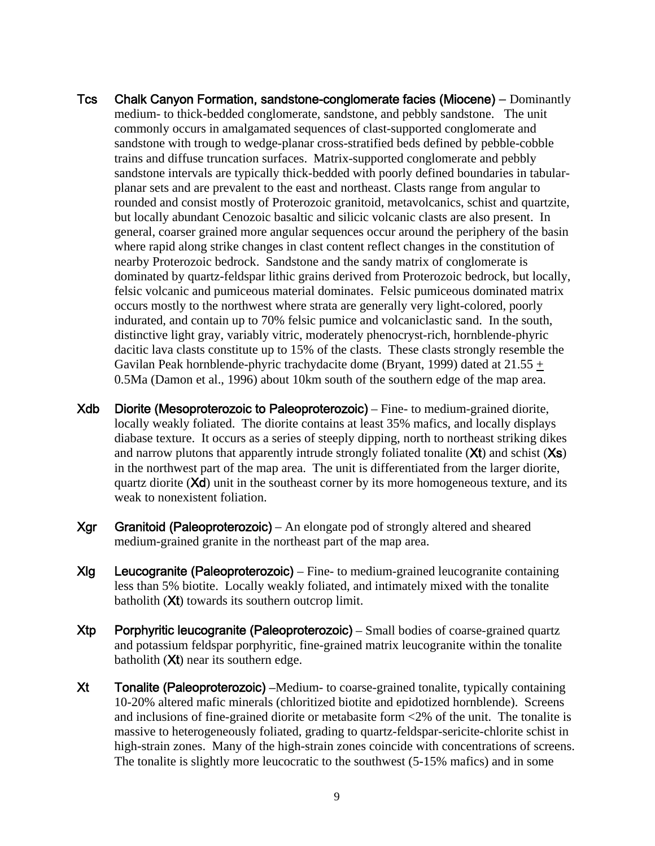- Tcs Chalk Canyon Formation, sandstone-conglomerate facies (Miocene) Dominantly medium- to thick-bedded conglomerate, sandstone, and pebbly sandstone. The unit commonly occurs in amalgamated sequences of clast-supported conglomerate and sandstone with trough to wedge-planar cross-stratified beds defined by pebble-cobble trains and diffuse truncation surfaces. Matrix-supported conglomerate and pebbly sandstone intervals are typically thick-bedded with poorly defined boundaries in tabularplanar sets and are prevalent to the east and northeast. Clasts range from angular to rounded and consist mostly of Proterozoic granitoid, metavolcanics, schist and quartzite, but locally abundant Cenozoic basaltic and silicic volcanic clasts are also present. In general, coarser grained more angular sequences occur around the periphery of the basin where rapid along strike changes in clast content reflect changes in the constitution of nearby Proterozoic bedrock. Sandstone and the sandy matrix of conglomerate is dominated by quartz-feldspar lithic grains derived from Proterozoic bedrock, but locally, felsic volcanic and pumiceous material dominates. Felsic pumiceous dominated matrix occurs mostly to the northwest where strata are generally very light-colored, poorly indurated, and contain up to 70% felsic pumice and volcaniclastic sand. In the south, distinctive light gray, variably vitric, moderately phenocryst-rich, hornblende-phyric dacitic lava clasts constitute up to 15% of the clasts. These clasts strongly resemble the Gavilan Peak hornblende-phyric trachydacite dome (Bryant, 1999) dated at 21.55 + 0.5Ma (Damon et al., 1996) about 10km south of the southern edge of the map area.
- Xdb Diorite (Mesoproterozoic to Paleoproterozoic) Fine- to medium-grained diorite, locally weakly foliated. The diorite contains at least 35% mafics, and locally displays diabase texture. It occurs as a series of steeply dipping, north to northeast striking dikes and narrow plutons that apparently intrude strongly foliated tonalite  $(Xt)$  and schist  $(Xs)$ in the northwest part of the map area. The unit is differentiated from the larger diorite, quartz diorite  $(Xd)$  unit in the southeast corner by its more homogeneous texture, and its weak to nonexistent foliation.
- Xgr Granitoid (Paleoproterozoic) An elongate pod of strongly altered and sheared medium-grained granite in the northeast part of the map area.
- Xlg Leucogranite (Paleoproterozoic) Fine- to medium-grained leucogranite containing less than 5% biotite. Locally weakly foliated, and intimately mixed with the tonalite batholith (Xt) towards its southern outcrop limit.
- Xtp Porphyritic leucogranite (Paleoproterozoic) Small bodies of coarse-grained quartz and potassium feldspar porphyritic, fine-grained matrix leucogranite within the tonalite batholith (Xt) near its southern edge.
- Xt Tonalite (Paleoproterozoic) **–**Medium- to coarse-grained tonalite, typically containing 10-20% altered mafic minerals (chloritized biotite and epidotized hornblende). Screens and inclusions of fine-grained diorite or metabasite form <2% of the unit. The tonalite is massive to heterogeneously foliated, grading to quartz-feldspar-sericite-chlorite schist in high-strain zones. Many of the high-strain zones coincide with concentrations of screens. The tonalite is slightly more leucocratic to the southwest (5-15% mafics) and in some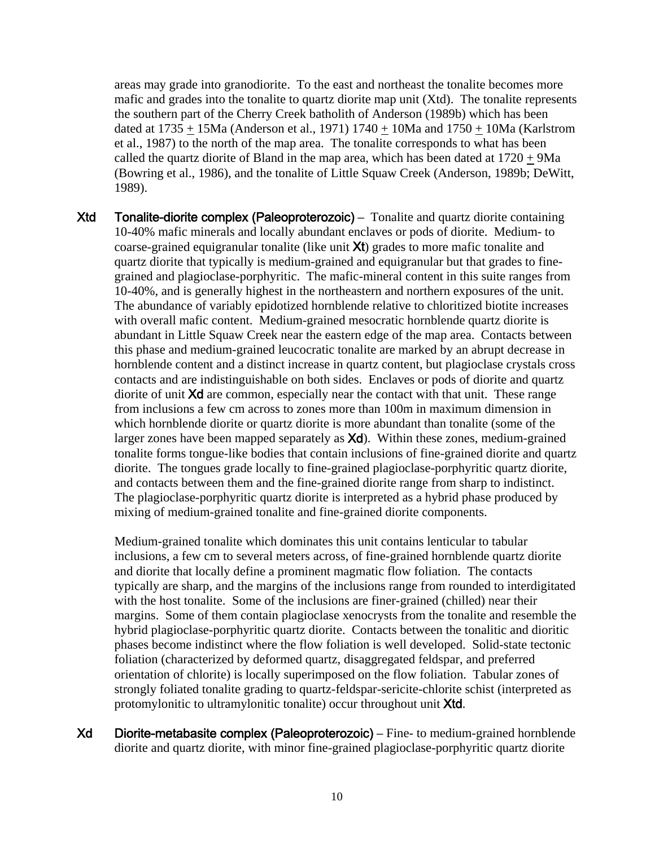areas may grade into granodiorite. To the east and northeast the tonalite becomes more mafic and grades into the tonalite to quartz diorite map unit (Xtd). The tonalite represents the southern part of the Cherry Creek batholith of Anderson (1989b) which has been dated at  $1735 \pm 15$ Ma (Anderson et al., 1971)  $1740 \pm 10$ Ma and  $1750 \pm 10$ Ma (Karlstrom et al., 1987) to the north of the map area. The tonalite corresponds to what has been called the quartz diorite of Bland in the map area, which has been dated at  $1720 \pm 9$ Ma (Bowring et al., 1986), and the tonalite of Little Squaw Creek (Anderson, 1989b; DeWitt, 1989).

Xtd Tonalite-diorite complex (Paleoproterozoic) **–** Tonalite and quartz diorite containing 10-40% mafic minerals and locally abundant enclaves or pods of diorite. Medium- to coarse-grained equigranular tonalite (like unit Xt) grades to more mafic tonalite and quartz diorite that typically is medium-grained and equigranular but that grades to finegrained and plagioclase-porphyritic. The mafic-mineral content in this suite ranges from 10-40%, and is generally highest in the northeastern and northern exposures of the unit. The abundance of variably epidotized hornblende relative to chloritized biotite increases with overall mafic content. Medium-grained mesocratic hornblende quartz diorite is abundant in Little Squaw Creek near the eastern edge of the map area. Contacts between this phase and medium-grained leucocratic tonalite are marked by an abrupt decrease in hornblende content and a distinct increase in quartz content, but plagioclase crystals cross contacts and are indistinguishable on both sides. Enclaves or pods of diorite and quartz diorite of unit Xd are common, especially near the contact with that unit. These range from inclusions a few cm across to zones more than 100m in maximum dimension in which hornblende diorite or quartz diorite is more abundant than tonalite (some of the larger zones have been mapped separately as Xd). Within these zones, medium-grained tonalite forms tongue-like bodies that contain inclusions of fine-grained diorite and quartz diorite. The tongues grade locally to fine-grained plagioclase-porphyritic quartz diorite, and contacts between them and the fine-grained diorite range from sharp to indistinct. The plagioclase-porphyritic quartz diorite is interpreted as a hybrid phase produced by mixing of medium-grained tonalite and fine-grained diorite components.

Medium-grained tonalite which dominates this unit contains lenticular to tabular inclusions, a few cm to several meters across, of fine-grained hornblende quartz diorite and diorite that locally define a prominent magmatic flow foliation. The contacts typically are sharp, and the margins of the inclusions range from rounded to interdigitated with the host tonalite. Some of the inclusions are finer-grained (chilled) near their margins. Some of them contain plagioclase xenocrysts from the tonalite and resemble the hybrid plagioclase-porphyritic quartz diorite. Contacts between the tonalitic and dioritic phases become indistinct where the flow foliation is well developed. Solid-state tectonic foliation (characterized by deformed quartz, disaggregated feldspar, and preferred orientation of chlorite) is locally superimposed on the flow foliation. Tabular zones of strongly foliated tonalite grading to quartz-feldspar-sericite-chlorite schist (interpreted as protomylonitic to ultramylonitic tonalite) occur throughout unit Xtd.

Xd Diorite-metabasite complex (Paleoproterozoic) **–** Fine- to medium-grained hornblende diorite and quartz diorite, with minor fine-grained plagioclase-porphyritic quartz diorite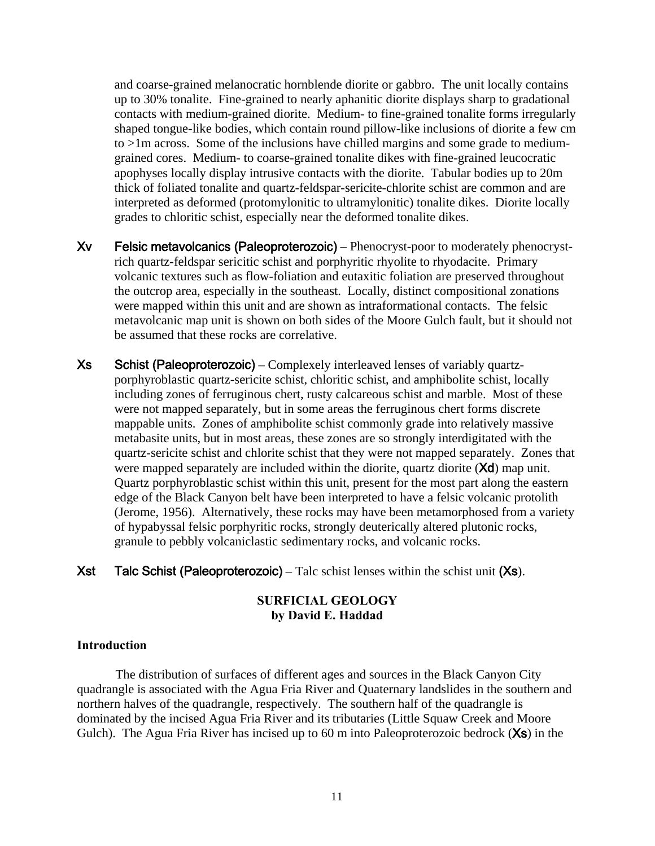and coarse-grained melanocratic hornblende diorite or gabbro. The unit locally contains up to 30% tonalite. Fine-grained to nearly aphanitic diorite displays sharp to gradational contacts with medium-grained diorite. Medium- to fine-grained tonalite forms irregularly shaped tongue-like bodies, which contain round pillow-like inclusions of diorite a few cm to >1m across. Some of the inclusions have chilled margins and some grade to mediumgrained cores. Medium- to coarse-grained tonalite dikes with fine-grained leucocratic apophyses locally display intrusive contacts with the diorite. Tabular bodies up to 20m thick of foliated tonalite and quartz-feldspar-sericite-chlorite schist are common and are interpreted as deformed (protomylonitic to ultramylonitic) tonalite dikes. Diorite locally grades to chloritic schist, especially near the deformed tonalite dikes.

- Xv Felsic metavolcanics (Paleoproterozoic) Phenocryst-poor to moderately phenocrystrich quartz-feldspar sericitic schist and porphyritic rhyolite to rhyodacite. Primary volcanic textures such as flow-foliation and eutaxitic foliation are preserved throughout the outcrop area, especially in the southeast. Locally, distinct compositional zonations were mapped within this unit and are shown as intraformational contacts. The felsic metavolcanic map unit is shown on both sides of the Moore Gulch fault, but it should not be assumed that these rocks are correlative.
- Xs Schist (Paleoproterozoic) Complexely interleaved lenses of variably quartzporphyroblastic quartz-sericite schist, chloritic schist, and amphibolite schist, locally including zones of ferruginous chert, rusty calcareous schist and marble. Most of these were not mapped separately, but in some areas the ferruginous chert forms discrete mappable units. Zones of amphibolite schist commonly grade into relatively massive metabasite units, but in most areas, these zones are so strongly interdigitated with the quartz-sericite schist and chlorite schist that they were not mapped separately. Zones that were mapped separately are included within the diorite, quartz diorite ( $\text{Xd}$ ) map unit. Quartz porphyroblastic schist within this unit, present for the most part along the eastern edge of the Black Canyon belt have been interpreted to have a felsic volcanic protolith (Jerome, 1956). Alternatively, these rocks may have been metamorphosed from a variety of hypabyssal felsic porphyritic rocks, strongly deuterically altered plutonic rocks, granule to pebbly volcaniclastic sedimentary rocks, and volcanic rocks.
- $Xst$  Talc Schist (Paleoproterozoic) Talc schist lenses within the schist unit  $(Xs)$ .

## **SURFICIAL GEOLOGY by David E. Haddad**

## **Introduction**

The distribution of surfaces of different ages and sources in the Black Canyon City quadrangle is associated with the Agua Fria River and Quaternary landslides in the southern and northern halves of the quadrangle, respectively. The southern half of the quadrangle is dominated by the incised Agua Fria River and its tributaries (Little Squaw Creek and Moore Gulch). The Agua Fria River has incised up to 60 m into Paleoproterozoic bedrock (Xs) in the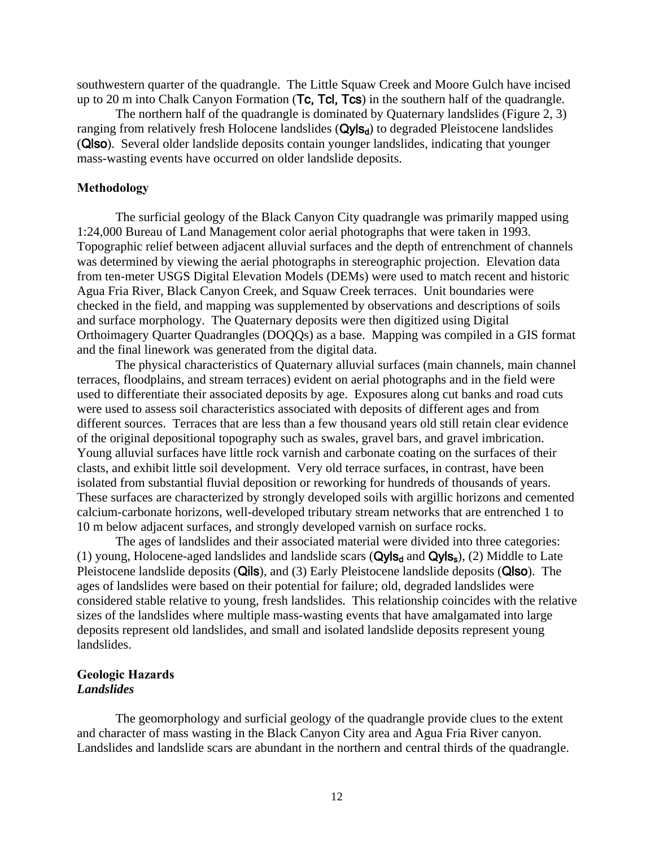southwestern quarter of the quadrangle. The Little Squaw Creek and Moore Gulch have incised up to 20 m into Chalk Canyon Formation (Tc, Tcl, Tcs) in the southern half of the quadrangle.

The northern half of the quadrangle is dominated by Quaternary landslides (Figure 2, 3) ranging from relatively fresh Holocene landslides  $(Qy \mid s_d)$  to degraded Pleistocene landslides (Qlso). Several older landslide deposits contain younger landslides, indicating that younger mass-wasting events have occurred on older landslide deposits.

### **Methodology**

The surficial geology of the Black Canyon City quadrangle was primarily mapped using 1:24,000 Bureau of Land Management color aerial photographs that were taken in 1993. Topographic relief between adjacent alluvial surfaces and the depth of entrenchment of channels was determined by viewing the aerial photographs in stereographic projection. Elevation data from ten-meter USGS Digital Elevation Models (DEMs) were used to match recent and historic Agua Fria River, Black Canyon Creek, and Squaw Creek terraces. Unit boundaries were checked in the field, and mapping was supplemented by observations and descriptions of soils and surface morphology. The Quaternary deposits were then digitized using Digital Orthoimagery Quarter Quadrangles (DOQQs) as a base. Mapping was compiled in a GIS format and the final linework was generated from the digital data.

The physical characteristics of Quaternary alluvial surfaces (main channels, main channel terraces, floodplains, and stream terraces) evident on aerial photographs and in the field were used to differentiate their associated deposits by age. Exposures along cut banks and road cuts were used to assess soil characteristics associated with deposits of different ages and from different sources. Terraces that are less than a few thousand years old still retain clear evidence of the original depositional topography such as swales, gravel bars, and gravel imbrication. Young alluvial surfaces have little rock varnish and carbonate coating on the surfaces of their clasts, and exhibit little soil development. Very old terrace surfaces, in contrast, have been isolated from substantial fluvial deposition or reworking for hundreds of thousands of years. These surfaces are characterized by strongly developed soils with argillic horizons and cemented calcium-carbonate horizons, well-developed tributary stream networks that are entrenched 1 to 10 m below adjacent surfaces, and strongly developed varnish on surface rocks.

The ages of landslides and their associated material were divided into three categories: (1) young, Holocene-aged landslides and landslide scars  $(Qy \mid s_d)$  and  $Qy \mid s_s$ ), (2) Middle to Late Pleistocene landslide deposits (Qils), and (3) Early Pleistocene landslide deposits (Qlso). The ages of landslides were based on their potential for failure; old, degraded landslides were considered stable relative to young, fresh landslides. This relationship coincides with the relative sizes of the landslides where multiple mass-wasting events that have amalgamated into large deposits represent old landslides, and small and isolated landslide deposits represent young landslides.

## **Geologic Hazards**  *Landslides*

The geomorphology and surficial geology of the quadrangle provide clues to the extent and character of mass wasting in the Black Canyon City area and Agua Fria River canyon. Landslides and landslide scars are abundant in the northern and central thirds of the quadrangle.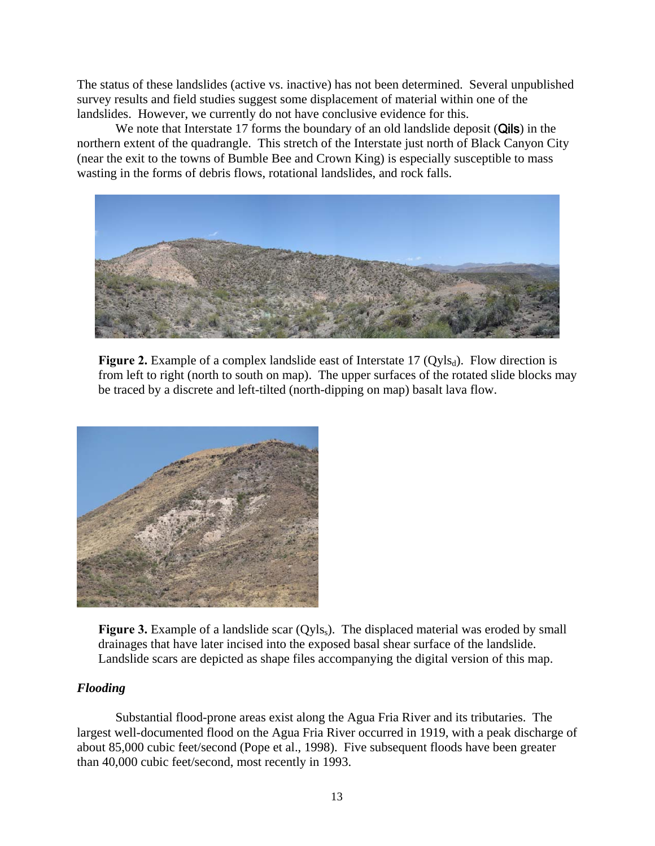The status of these landslides (active vs. inactive) has not been determined. Several unpublished survey results and field studies suggest some displacement of material within one of the landslides. However, we currently do not have conclusive evidence for this.

We note that Interstate 17 forms the boundary of an old landslide deposit (**Qils**) in the northern extent of the quadrangle. This stretch of the Interstate just north of Black Canyon City (near the exit to the towns of Bumble Bee and Crown King) is especially susceptible to mass wasting in the forms of debris flows, rotational landslides, and rock falls.



**Figure 2.** Example of a complex landslide east of Interstate  $17 \text{ (Oy1s_d)}$ . Flow direction is from left to right (north to south on map). The upper surfaces of the rotated slide blocks may be traced by a discrete and left-tilted (north-dipping on map) basalt lava flow.



Figure 3. Example of a landslide scar (Qyls<sub>s</sub>). The displaced material was eroded by small drainages that have later incised into the exposed basal shear surface of the landslide. Landslide scars are depicted as shape files accompanying the digital version of this map.

# *Flooding*

Substantial flood-prone areas exist along the Agua Fria River and its tributaries. The largest well-documented flood on the Agua Fria River occurred in 1919, with a peak discharge of about 85,000 cubic feet/second (Pope et al., 1998). Five subsequent floods have been greater than 40,000 cubic feet/second, most recently in 1993.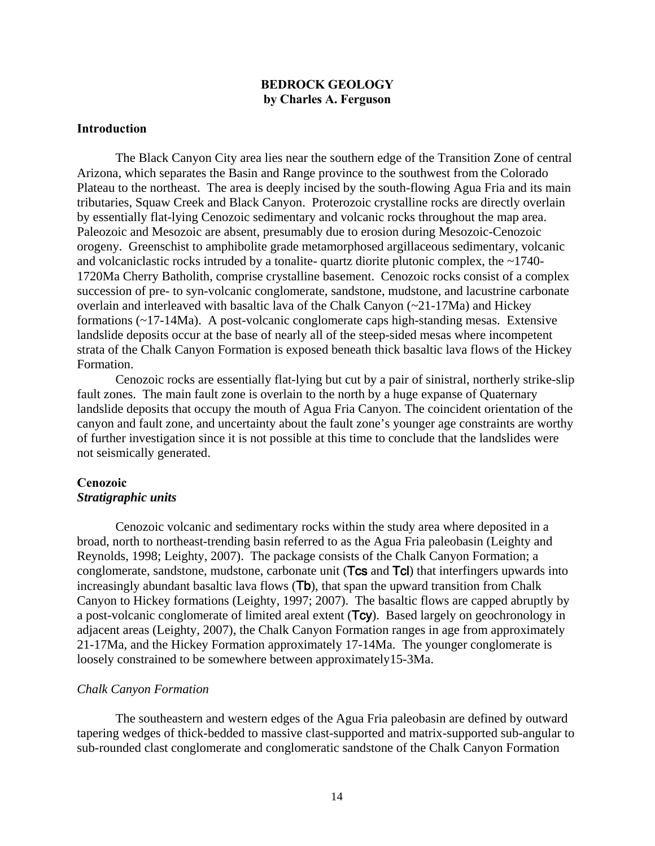## **BEDROCK GEOLOGY by Charles A. Ferguson**

### **Introduction**

The Black Canyon City area lies near the southern edge of the Transition Zone of central Arizona, which separates the Basin and Range province to the southwest from the Colorado Plateau to the northeast. The area is deeply incised by the south-flowing Agua Fria and its main tributaries, Squaw Creek and Black Canyon. Proterozoic crystalline rocks are directly overlain by essentially flat-lying Cenozoic sedimentary and volcanic rocks throughout the map area. Paleozoic and Mesozoic are absent, presumably due to erosion during Mesozoic-Cenozoic orogeny. Greenschist to amphibolite grade metamorphosed argillaceous sedimentary, volcanic and volcaniclastic rocks intruded by a tonalite- quartz diorite plutonic complex, the  $\sim$ 1740-1720Ma Cherry Batholith, comprise crystalline basement. Cenozoic rocks consist of a complex succession of pre- to syn-volcanic conglomerate, sandstone, mudstone, and lacustrine carbonate overlain and interleaved with basaltic lava of the Chalk Canyon (~21-17Ma) and Hickey formations (~17-14Ma). A post-volcanic conglomerate caps high-standing mesas. Extensive landslide deposits occur at the base of nearly all of the steep-sided mesas where incompetent strata of the Chalk Canyon Formation is exposed beneath thick basaltic lava flows of the Hickey Formation.

Cenozoic rocks are essentially flat-lying but cut by a pair of sinistral, northerly strike-slip fault zones. The main fault zone is overlain to the north by a huge expanse of Quaternary landslide deposits that occupy the mouth of Agua Fria Canyon. The coincident orientation of the canyon and fault zone, and uncertainty about the fault zone's younger age constraints are worthy of further investigation since it is not possible at this time to conclude that the landslides were not seismically generated.

## **Cenozoic**  *Stratigraphic units*

Cenozoic volcanic and sedimentary rocks within the study area where deposited in a broad, north to northeast-trending basin referred to as the Agua Fria paleobasin (Leighty and Reynolds, 1998; Leighty, 2007). The package consists of the Chalk Canyon Formation; a conglomerate, sandstone, mudstone, carbonate unit (Tcs and Tcl) that interfingers upwards into increasingly abundant basaltic lava flows (Tb), that span the upward transition from Chalk Canyon to Hickey formations (Leighty, 1997; 2007). The basaltic flows are capped abruptly by a post-volcanic conglomerate of limited areal extent (Tcy). Based largely on geochronology in adjacent areas (Leighty, 2007), the Chalk Canyon Formation ranges in age from approximately 21-17Ma, and the Hickey Formation approximately 17-14Ma. The younger conglomerate is loosely constrained to be somewhere between approximately15-3Ma.

## *Chalk Canyon Formation*

The southeastern and western edges of the Agua Fria paleobasin are defined by outward tapering wedges of thick-bedded to massive clast-supported and matrix-supported sub-angular to sub-rounded clast conglomerate and conglomeratic sandstone of the Chalk Canyon Formation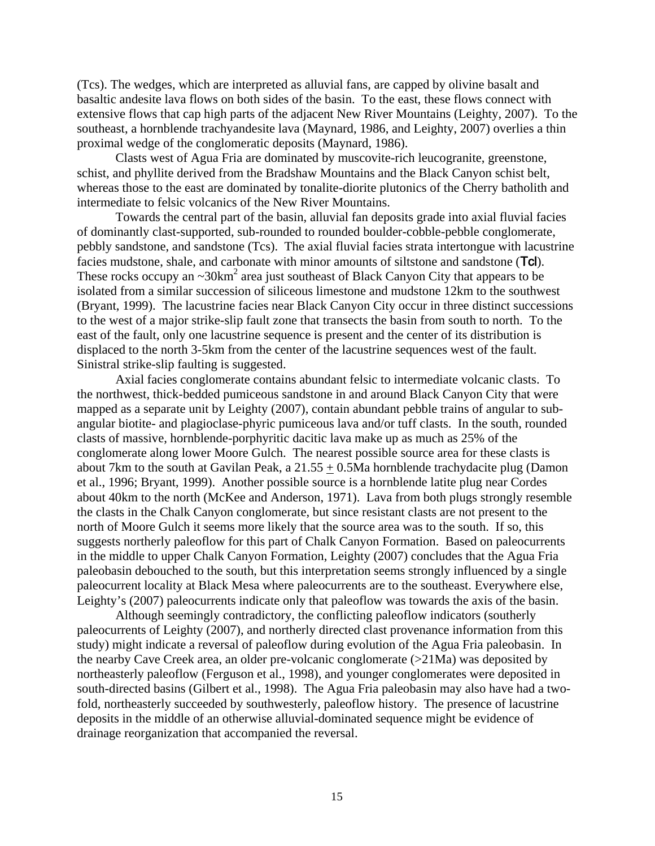(Tcs). The wedges, which are interpreted as alluvial fans, are capped by olivine basalt and basaltic andesite lava flows on both sides of the basin. To the east, these flows connect with extensive flows that cap high parts of the adjacent New River Mountains (Leighty, 2007). To the southeast, a hornblende trachyandesite lava (Maynard, 1986, and Leighty, 2007) overlies a thin proximal wedge of the conglomeratic deposits (Maynard, 1986).

Clasts west of Agua Fria are dominated by muscovite-rich leucogranite, greenstone, schist, and phyllite derived from the Bradshaw Mountains and the Black Canyon schist belt, whereas those to the east are dominated by tonalite-diorite plutonics of the Cherry batholith and intermediate to felsic volcanics of the New River Mountains.

Towards the central part of the basin, alluvial fan deposits grade into axial fluvial facies of dominantly clast-supported, sub-rounded to rounded boulder-cobble-pebble conglomerate, (Bryant, 1999). The lacustrine facies near Black Canyon City occur in three distinct successions Sinistral strike-slip faulting is suggested. pebbly sandstone, and sandstone (Tcs). The axial fluvial facies strata intertongue with lacustrine facies mudstone, shale, and carbonate with minor amounts of siltstone and sandstone (Tcl). These rocks occupy an  $\sim 30 \text{km}^2$  area just southeast of Black Canyon City that appears to be isolated from a similar succession of siliceous limestone and mudstone 12km to the southwest to the west of a major strike-slip fault zone that transects the basin from south to north. To the east of the fault, only one lacustrine sequence is present and the center of its distribution is displaced to the north 3-5km from the center of the lacustrine sequences west of the fault.

the northwest, thick-bedded pumiceous sandstone in and around Black Canyon City that were conglomerate along lower Moore Gulch. The nearest possible source area for these clasts is about 7km to the south at Gavilan Peak, a  $21.55 \pm 0.5$ Ma hornblende trachydacite plug (Damon Axial facies conglomerate contains abundant felsic to intermediate volcanic clasts. To mapped as a separate unit by Leighty (2007), contain abundant pebble trains of angular to subangular biotite- and plagioclase-phyric pumiceous lava and/or tuff clasts. In the south, rounded clasts of massive, hornblende-porphyritic dacitic lava make up as much as 25% of the et al., 1996; Bryant, 1999). Another possible source is a hornblende latite plug near Cordes about 40km to the north (McKee and Anderson, 1971). Lava from both plugs strongly resemble the clasts in the Chalk Canyon conglomerate, but since resistant clasts are not present to the north o f Moore Gulch it seems more likely that the source area was to the south. If so, this suggests northerly paleoflow for this part of Chalk Canyon Formation. Based on paleocurrents in the middle to upper Chalk Canyon Formation, Leighty (2007) concludes that the Agua Fria paleocurrent locality at Black Mesa where paleocurrents are to the southeast. Everywhere else, paleobasin debouched to the south, but this interpretation seems strongly influenced by a single Leighty's (2007) paleocurrents indicate only that paleoflow was towards the axis of the basin.

the nearby Cave Creek area, an older pre-volcanic conglomerate  $(>21Ma)$  was deposited by northeasterly paleoflow (Ferguson et al., 1998), and younger conglomerates were deposited in south-directed basins (Gilbert et al., 1998). The Agua Fria paleobasin may also have had a twofold, northeasterly succeeded by southwesterly, paleoflow history. The presence of lacustrine deposit s in the middle of an otherwise alluvial-dominated sequence might be evidence of Although seemingly contradictory, the conflicting paleoflow indicators (southerly paleocurrents of Leighty (2007), and northerly directed clast provenance information from this study) might indicate a reversal of paleoflow during evolution of the Agua Fria paleobasin. In drainage reorganization that accompanied the reversal.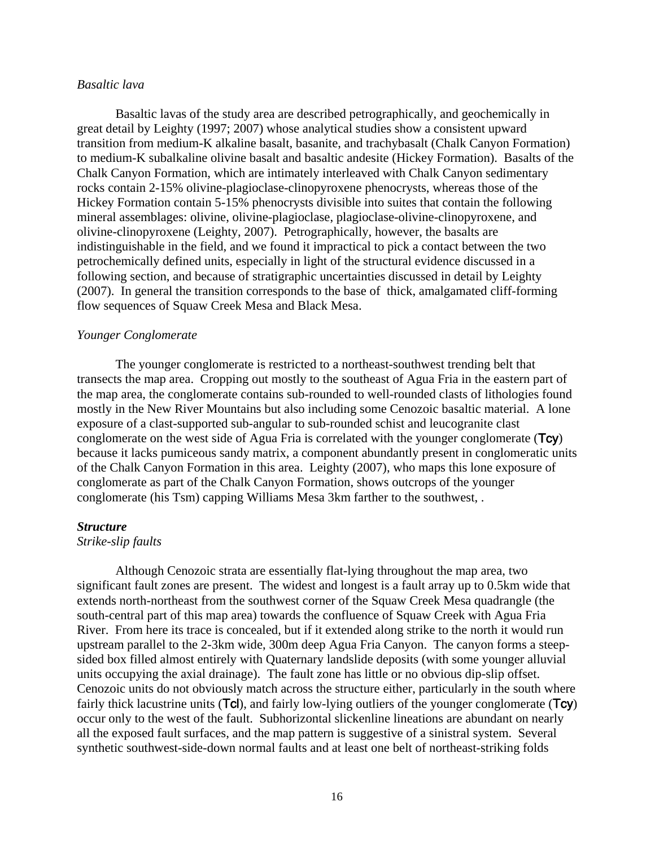## *Basaltic lava*

Basaltic lavas of the study area are described petrographically, and geochemically in great detail by Leighty (1997; 2007) whose analytical studies show a consistent upward transition from medium-K alkaline basalt, basanite, and trachybasalt (Chalk Canyon Formation) to medium-K subalkaline olivine basalt and basaltic andesite (Hickey Formation). Basalts of the Hickey Formation contain 5-15% phenocrysts divisible into suites that contain the following minera l assemblages: olivine, olivine-plagioclase, plagioclase-olivine-clinopyroxene, and Chalk Canyon Formation, which are intimately interleaved with Chalk Canyon sedimentary rocks contain 2-15% olivine-plagioclase-clinopyroxene phenocrysts, whereas those of the olivine-clinopyroxene (Leighty, 2007). Petrographically, however, the basalts are indistinguishable in the field, and we found it impractical to pick a contact between the two petrochemically defined units, especially in light of the structural evidence discussed in a following section, and because of stratigraphic uncertainties discussed in detail by Leighty (2007). In general the transition corresponds to the base of thick, amalgamated cliff-forming flow sequences of Squaw Creek Mesa and Black Mesa.

#### *Younger Conglomerate*

The younger conglomerate is restricted to a northeast-southwest trending belt that transec ts the map area. Cropping out mostly to the southeast of Agua Fria in the eastern part of the map area, the conglomerate contains sub-rounded to well-rounded clasts of lithologies found mostly in the New River Mountains but also including some Cenozoic basaltic material. A lone conglomerate on the west side of Agua Fria is correlated with the younger conglomerate  $(Tcy)$ because it lacks pumiceous sandy matrix, a component abundantly present in conglomeratic units exposure of a clast-supported sub-angular to sub-rounded schist and leucogranite clast of the Chalk Canyon Formation in this area. Leighty (2007), who maps this lone exposure of conglomerate as part of the Chalk Canyon Formation, shows outcrops of the younger conglomerate (his Tsm) capping Williams Mesa 3km farther to the southwest, .

#### *Structure*

## *Strike-slip faults*

south-c entral part of this map area) towards the confluence of Squaw Creek with Agua Fria sided box filled almost entirely with Quaternary landslide deposits (with some younger alluvial fairly thick lacustrine units ( $Tcl$ ), and fairly low-lying outliers of the younger conglomerate ( $Tcy$ ) occur only to the west of the fault. Subhorizontal slickenline lineations are abundant on nearly all the exposed fault surfaces, and the map pattern is suggestive of a sinistral system. Several synthetic southwest-side-down normal faults and at least one belt of northeast-striking folds Although Cenozoic strata are essentially flat-lying throughout the map area, two significant fault zones are present. The widest and longest is a fault array up to 0.5km wide that extends north-northeast from the southwest corner of the Squaw Creek Mesa quadrangle (the River. From here its trace is concealed, but if it extended along strike to the north it would run upstream parallel to the 2-3km wide, 300m deep Agua Fria Canyon. The canyon forms a steepunits occupying the axial drainage). The fault zone has little or no obvious dip-slip offset. Cenozoic units do not obviously match across the structure either, particularly in the south where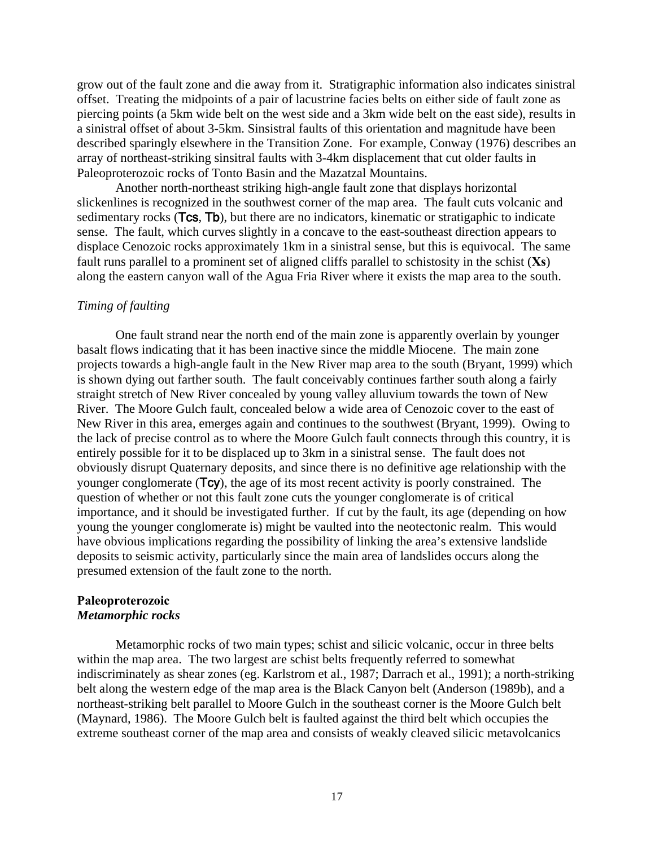grow out of the fault zone and die away from it. Stratigraphic information also indicates sinistral offset. Treating the midpoints of a pair of lacustrine facies belts on either side of fault zone as piercing points (a 5km wide belt on the west side and a 3km wide belt on the east side), results in a sinistral offset of about 3-5km. Sinsistral faults of this orientation and magnitude have been described sparingly elsewhere in the Transition Zone. For example, Conway (1976) describes an array of northeast-striking sinsitral faults with 3-4km displacement that cut older faults in Paleoproterozoic rocks of Tonto Basin and the Mazatzal Mountains.

sedimentary rocks (Tcs, Tb), but there are no indicators, kinematic or stratigaphic to indicate sense. The fault, which curves slightly in a concave to the east-southeast direction appears to displace Cenozoic rocks approximately 1km in a sinistral sense, but this is equivocal. The same fault runs parallel to a prominent set of aligned cliffs parallel to schistosity in the schist (Xs) along the eastern canyon wall of the Agua Fria River where it exists the map area to the south. Another north-northeast striking high-angle fault zone that displays horizontal slickenlines is recognized in the southwest corner of the map area. The fault cuts volcanic and

## *Timing of faulting*

One fault strand near the north end of the main zone is apparently overlain by younger basalt flows indicating that it has been inactive since the middle Miocene. The main zone projects towards a high-angle fault in the New River map area to the south (Bryant, 1999) which New River in this area, emerges again and continues to the southwest (Bryant, 1999). Owing to younger conglomerate (Tcy), the age of its most recent activity is poorly constrained. The question of whether or not this fault zone cuts the younger conglomerate is of critical importance, and it should be investigated further. If cut by the fault, its age (depending on how young the younger conglomerate is) might be vaulted into the neotectonic realm. This would have obvious implications regarding the possibility of linking the area's extensive landslide deposits to seismic activity, particularly since the main area of landslides occurs along the presum ed extension of the fault zone to the north. is shown dying out farther south. The fault conceivably continues farther south along a fairly straight stretch of New River concealed by young valley alluvium towards the town of New River. The Moore Gulch fault, concealed below a wide area of Cenozoic cover to the east of the lack of precise control as to where the Moore Gulch fault connects through this country, it is entirely possible for it to be displaced up to 3km in a sinistral sense. The fault does not obviously disrupt Quaternary deposits, and since there is no definitive age relationship with the

## **Paleoproterozoic**  *Metamorphic rocks*

indiscriminately as shear zones (eg. Karlstrom et al., 1987; Darrach et al., 1991); a north-striking Metamorphic rocks of two main types; schist and silicic volcanic, occur in three belts within the map area. The two largest are schist belts frequently referred to somewhat belt along the western edge of the map area is the Black Canyon belt (Anderson (1989b), and a northeast-striking belt parallel to Moore Gulch in the southeast corner is the Moore Gulch belt (Maynard, 1986). The Moore Gulch belt is faulted against the third belt which occupies the extreme southeast corner of the map area and consists of weakly cleaved silicic metavolcanics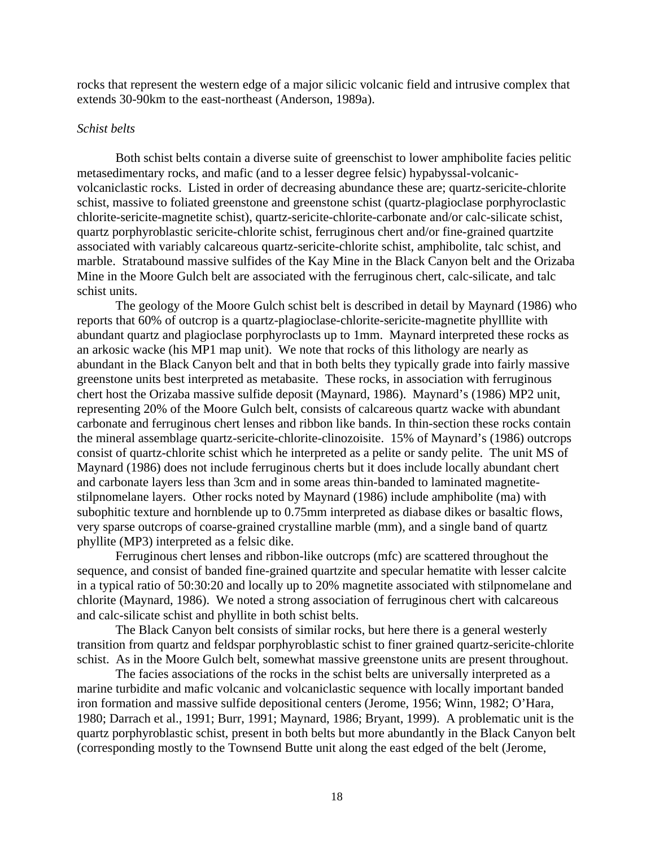rocks that represent the western edge of a major silicic volcanic field and intrusive complex that extends 30-90km to the east-northeast (Anderson, 1989a).

### *Schist belts*

Both schist belts contain a diverse suite of greenschist to lower amphibolite facies p elitic metasedimentary rocks, and mafic (and to a lesser degree felsic) hypa byssal-volcanicvolcaniclastic rocks. Listed in order of decreasing abundance these are; quartz-sericite-chlorite marble. Stratabound massive sulfides of the Kay Mine in the Black Canyon belt and the Orizaba schist units. schist, massive to foliated greenstone and greenstone schist (quartz-plagioclase porphyroclastic chlorite-sericite-magnetite schist), quartz-sericite-chlorite-carbonate and/or calc-silicate schist, quartz porphyroblastic sericite-chlorite schist, ferruginous chert and/or fine-grained quartzite associated with variably calcareous quartz-sericite-chlorite schist, amphibolite, talc schist, and Mine in the Moore Gulch belt are associated with the ferruginous chert, calc-silicate, and talc

The geology of the Moore Gulch schist belt is described in detail by Maynard (1986) who reports that 60% of outcrop is a quartz-plagioclase-chlorite-sericite-magnetite phylllite with abundant quartz and plagioclase porphyroclasts up to 1mm. Maynard interpreted these rocks as chert host the Orizaba massive sulfide deposit (Maynard, 1986). Maynard's (1986) MP2 unit, consist of quartz-chlorite schist which he interpreted as a pelite or sandy pelite. The unit MS of stilpnomelane layers. Other rocks noted by Maynard (1986) include amphibolite (ma) with an arkosic wacke (his MP1 map unit). We note that rocks of this lithology are nearly as abundant in the Black Canyon belt and that in both belts they typically grade into fairly massive greenstone units best interpreted as metabasite. These rocks, in association with ferruginous representing 20% of the Moore Gulch belt, consists of calcareous quartz wacke with abundant carbonate and ferruginous chert lenses and ribbon like bands. In thin-section these rocks contain the mineral assemblage quartz-sericite-chlorite-clinozoisite. 15% of Maynard's (1986) outcrops Maynard (1986) does not include ferruginous cherts but it does include locally abundant chert and carbonate layers less than 3cm and in some areas thin-banded to laminated magnetitesubophitic texture and hornblende up to 0.75mm interpreted as diabase dikes or basaltic flows, very sparse outcrops of coarse-grained crystalline marble (mm), and a single band of quartz phyllite (MP3) interpreted as a felsic dike.

sequence, and consist of banded fine-grained quartzite and specular hematite with lesser calcite in a typical ratio of 50:30:20 and locally up to 20% magnetite associated with stilpnomelane and chlorite (Maynard, 1986). We noted a strong association of ferruginous chert with calcareous and calc-silicate schist and phyllite in both schist belts. Ferruginous chert lenses and ribbon-like outcrops (mfc) are scattered throughout the

The Black Canyon belt consists of similar rocks, but here there is a general westerly transition from quartz and feldspar porphyroblastic schist to finer grained quartz-sericite-chlorite schist. As in the Moore Gulch belt, somewhat massive greenstone units are present throughout.

1980; Darrach et al., 1991; Burr, 1991; Maynard, 1986; Bryant, 1999). A problematic unit is the quartz porphyroblastic schist, present in both belts but more abundantly in the Black Canyon belt (corresponding mostly to the Townsend Butte unit along the east edged of the belt (Jerome, The facies associations of the rocks in the schist belts are universally interpreted as a marine turbidite and mafic volcanic and volcaniclastic sequence with locally important banded iron formation and massive sulfide depositional centers (Jerome, 1956; Winn, 1982; O'Hara,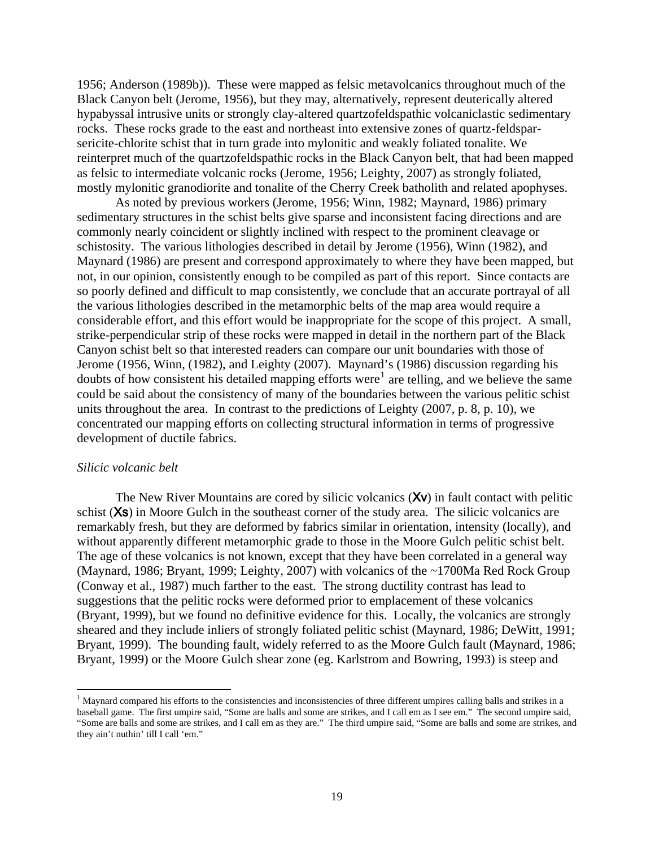1956; Anderson (1989b)). These were mapped as felsic metavolcanics throughout much of the Black Canyon belt (Jerome, 1956), but they may, alternatively, represent deuterically altered hypabyssal intrusive units or strongly clay-altered quartzofeldspathic volcaniclastic sedimentary rocks. These rocks grade to the east and northeast into extensive zones of quartz-feldsparsericite-chlorite schist that in turn grade into mylonitic and weakly foliated tonalite. We reinterpret much of the quartzofeldspathic rocks in the Black Canyon belt, that had been mapped as felsic to intermediate volcanic rocks (Jerome, 1956; Leighty, 2007) as strongly foliated, mostly mylonitic granodiorite and tonalite of the Cherry Creek batholith and related apophyses.

not, in our opinion, consistently enough to be compiled as part of this report. Since contacts are so poorly defined and difficult to map consistently, we conclude that an accurate portrayal of all the vari ous lithologies described in the metamorphic belts of the map area would require a considerable effort, and this effort would be inappropriate for the scope of this project. A small, Canyon schist belt so that interested readers can compare our unit boundaries with those of doubts of how consistent his detailed mapping efforts were<sup>1</sup> are telling, and we believe the same could be said about the consistency of many of the boundaries between the various pelitic schist As noted by previous workers (Jerome, 1956; Winn, 1982; Maynard, 1986) primary sedimentary structures in the schist belts give sparse and inconsistent facing directions and are commonly nearly coincident or slightly inclined with respect to the prominent cleavage or schistosity. The various lithologies described in detail by Jerome (1956), Winn (1982), and Maynard (1986) are present and correspond approximately to where they have been mapped, but strike-perpendicular strip of these rocks were mapped in detail in the northern part of the Black Jerome (1956, Winn, (1982), and Leighty (2007). Maynard's (1986) discussion regarding his units throughout the area. In contrast to the predictions of Leighty (2007, p. 8, p. 10), we concentrated our mapping efforts on collecting structural information in terms of progressive development of ductile fabrics.

#### *Silicic volcanic belt*

 $\overline{a}$ 

The New River Mountains are cored by silicic volcanics  $(Xv)$  in fault contact with pelitic remarkably fresh, but they are deformed by fabrics similar in orientation, intensity (locally), and without apparently different metamorphic grade to those in the Moore Gulch pelitic schist belt. The age of these volcanics is not known, except that they have been correlated in a general way (Bryant, 1999), but we found no definitive evidence for this. Locally, the volcanics are strongly sheared and they include inliers of strongly foliated pelitic schist (Maynard, 1986; DeWitt, 1991; schist  $(Xs)$  in Moore Gulch in the southeast corner of the study area. The silicic volcanics are (Maynard, 1986; Bryant, 1999; Leighty, 2007) with volcanics of the ~1700Ma Red Rock Group (Conway et al., 1987) much farther to the east. The strong ductility contrast has lead to suggestions that the pelitic rocks were deformed prior to emplacement of these volcanics Bryant, 1999). The bounding fault, widely referred to as the Moore Gulch fault (Maynard, 1986; Bryant, 1999) or the Moore Gulch shear zone (eg. Karlstrom and Bowring, 1993) is steep and

<sup>&</sup>lt;sup>1</sup> Maynard compared his efforts to the consistencies and inconsistencies of three different umpires calling balls and strikes in a baseball game. The first umpire said, "Some are balls and some are strikes, and I call em as I see em." The second umpire said, "Some are balls and some are strikes, and I call em as they are." The third umpire said, "Some are balls and some are strikes, and they ain't nuthin' till I call 'em."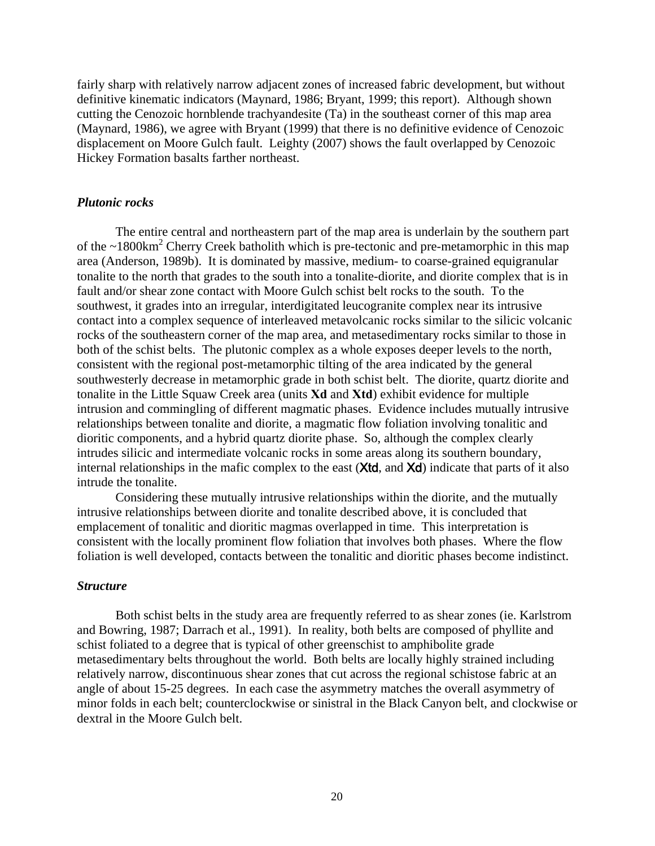fairly sharp with relatively narrow adjacent zones of increased fabric development, but without definitive kinematic indicators (Maynard, 1986; Bryant, 1999; this report). Although shown cutting the Cenozoic hornblende trachyandesite (Ta) in the southeast corner of this map area (Maynard, 1986), we agree with Bryant (1999) that there is no definitive evidence of Cenoz oic displacement on Moore Gulch fault. Leighty (2007) shows the fault overlapped by Cenozoic Hickey Formation basalts farther northeast.

### *Pluton ic rocks*

The entire central and northeastern part of the map area is underlain by the southern part of the  $\sim$ 1800km<sup>2</sup> Cherry Creek batholith which is pre-tectonic and pre-metamorphic in this map both of the schist belts. The plutonic complex as a whole exposes deeper levels to the north, intrusion and commingling of different magmatic phases. Evidence includes mutually intrusive dioritic components, and a hybrid quartz diorite phase. So, although the complex clearly intrudes silicic and intermediate volcanic rocks in some areas along its southern boundary, internal relationships in the mafic complex to the east  $(Xtd, and Xd)$  indicate that parts of it also intrude the tonalite. area (Anderson, 1989b). It is dominated by massive, medium- to coarse-grained equigranular tonalite to the north that grades to the south into a tonalite-diorite, and diorite complex that is in fault and/or shear zone contact with Moore Gulch schist belt rocks to the south. To the southwest, it grades into an irregular, interdigitated leucogranite complex near its intrusive contact into a complex sequence of interleaved metavolcanic rocks similar to the silicic volcanic rocks of the southeastern corner of the map area, and metasedimentary rocks similar to those in consistent with the regional post-metamorphic tilting of the area indicated by the general southwesterly decrease in metamorphic grade in both schist belt. The diorite, quartz diorite and tonalite in the Little Squaw Creek area (units **Xd** and **Xtd**) exhibit evidence for multiple relationships between tonalite and diorite, a magmatic flow foliation involving tonalitic and

Considering these mutually intrusive relationships within the diorite, and the mutually intrusive relationships between diorite and tonalite described above, it is concluded that emplacement of tonalitic and dioritic magmas overlapped in time. This interpretation is consistent with the locally prominent flow foliation that involves both phases. Where the flow foliation is well developed, contacts between the tonalitic and dioritic phases become indistinct.

#### *Structure*

relatively narrow, discontinuous shear zones that cut across the regional schistose fabric at an angle of about 15-25 degrees. In each case the asymmetry matches the overall asymmetry of Both schist belts in the study area are frequently referred to as shear zones (ie. Karlstrom and Bowring, 1987; Darrach et al., 1991). In reality, both belts are composed of phyllite and schist foliated to a degree that is typical of other greenschist to amphibolite grade metasedimentary belts throughout the world. Both belts are locally highly strained including minor folds in each belt; counterclockwise or sinistral in the Black Canyon belt, and clockwise or dextral in the Moore Gulch belt.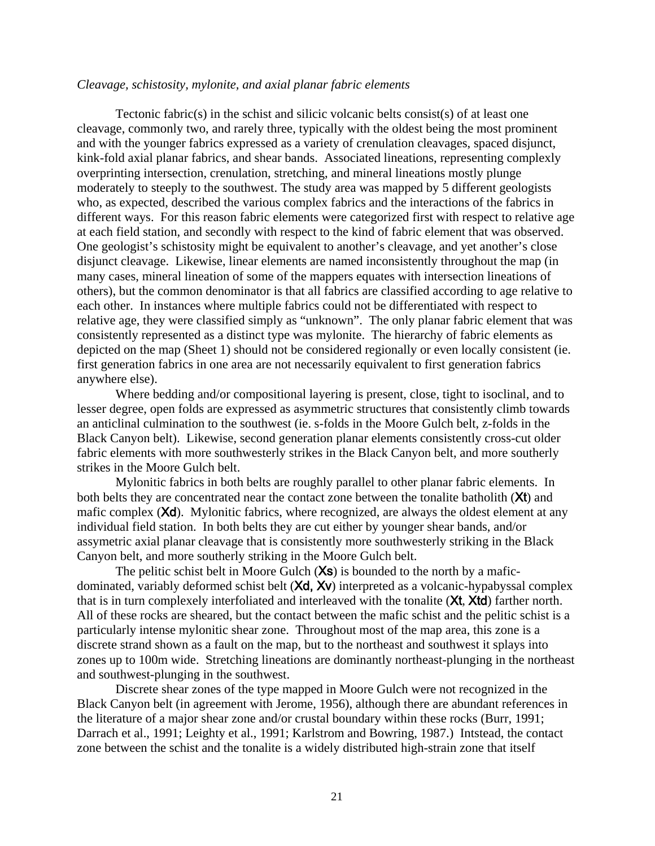### *Cleavage, schistosity, mylonite, and axial planar fabric elements*

Tectonic fabric(s) in the schist and silicic volcanic belts consist(s) of at least one cleavage, commonly two, and rarely three, typically with the oldest being the most prominent and with the younger fabrics expressed as a variety of crenulation cleavages, spaced disjunct, kink-fold axial planar fabrics, and shear bands. Associated lineations, representing complexly overprinting intersection, crenulation, stretching, and mineral lineations mostly plunge moderately to steeply to the southwest. The study area was mapped by 5 different geologists who, as expected, described the various complex fabrics and the interactions of the fabrics in different ways. For this reason fabric elements were categorized first with respect to relative age at each field station, and secondly with respect to the kind of fabric element that was observed. others), but the common denominator is that all fabrics are classified according to age relative to depicted on the map (Sheet 1) should not be considered regionally or even locally consistent (ie. One geologist's schistosity might be equivalent to another's cleavage, and yet another's close disjunct cleavage. Likewise, linear elements are named inconsistently throughout the map (in many cases, mineral lineation of some of the mappers equates with intersection lineations of each other. In instances where multiple fabrics could not be differentiated with respect to relative age, they were classified simply as "unknown". The only planar fabric element that was consistently represented as a distinct type was mylonite. The hierarchy of fabric elements as first generation fabrics in one area are not necessarily equivalent to first generation fabrics anywhere else).

Where bedding and/or compositional layering is present, close, tight to isoclinal, and to Black Canyon belt). Likewise, second generation planar elements consistently cross-cut older fabric elements with more southwesterly strikes in the Black Canyon belt, and more southerly lesser degree, open folds are expressed as asymmetric structures that consistently climb towards an anticlinal culmination to the southwest (ie. s-folds in the Moore Gulch belt, z-folds in the strikes in the Moore Gulch belt.

Mylonitic fabrics in both belts are roughly parallel to other planar fabric elements. In both belts they are concentrated near the contact zone between the tonalite batholith (Xt) and mafic complex (Xd). Mylonitic fabrics, where recognized, are always the oldest element at any individual field station. In both belts they are cut either by younger shear bands, and/or assymetric axial planar cleavage that is consistently more southwesterly striking in the Black Canyon belt, and more southerly striking in the Moore Gulch belt.

The pelitic schist belt in Moore Gulch  $(Xs)$  is bounded to the north by a maficdominated, variably deformed schist belt (Xd, Xv) interpreted as a volcanic-hypabyssal complex that is in turn complexely interfoliated and interleaved with the tonalite (Xt, Xtd) farther north. All of t hese rocks are sheared, but the contact between the mafic schist and the pelitic schist is a discrete strand shown as a fault on the map, but to the northeast and southwest it splays into zones up to 100m wide. Stretching lineations are dominantly northeast-plunging in the northeast particularly intense mylonitic shear zone. Throughout most of the map area, this zone is a and southwest-plunging in the southwest.

the literature of a major shear zone and/or crustal boundary within these rocks (Burr, 1991; Darrach et al., 1991; Leighty et al., 1991; Karlstrom and Bowring, 1987.) Intstead, the contact zone between the schist and the tonalite is a widely distributed high-strain zone that itself Discrete shear zones of the type mapped in Moore Gulch were not recognized in the Black Canyon belt (in agreement with Jerome, 1956), although there are abundant references in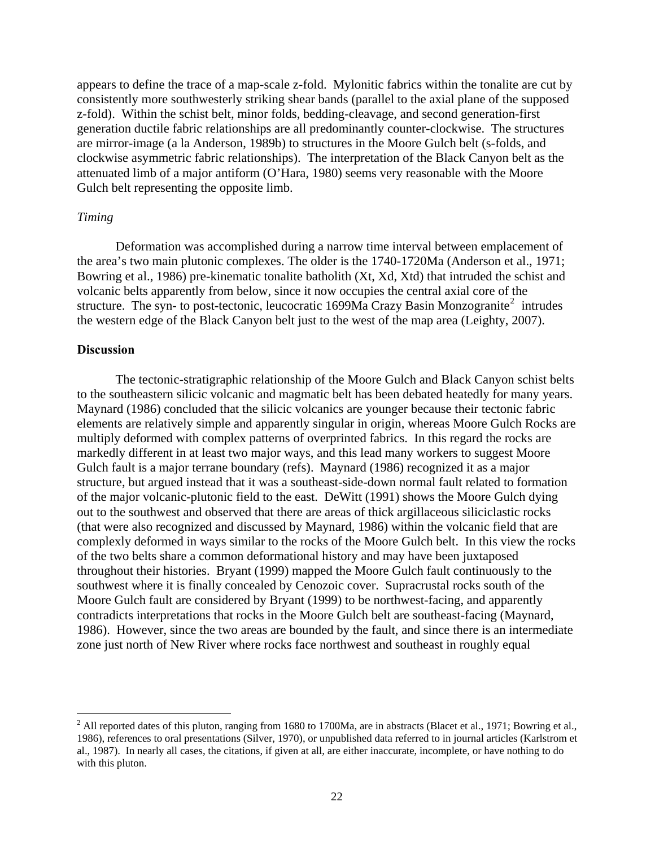appears to define the trace of a map-scale z-fold. Mylonitic fabrics within the tonalite are cut by onsistently more southwesterly striking shear bands (parallel to the axial plane of the supposed c z-fold). Within the schist belt, minor folds, bedding-cleavage, and second generation-first attenuated limb of a major antiform (O'Hara, 1980) seems very reasonable with the Moore generation ductile fabric relationships are all predominantly counter-clockwise. The structures are mirror-image (a la Anderson, 1989b) to structures in the Moore Gulch belt (s-folds, and clockwise asymmetric fabric relationships). The interpretation of the Black Canyon belt as the Gulch belt representing the opposite limb.

### *Timing*

Bowring et al., 1986) pre-kinematic tonalite batholith (Xt, Xd, Xtd) that intruded the schist and structure. The syn- to post-tectonic, leucocratic 1699Ma Crazy Basin Monzogranite<sup>2</sup> intrudes Deformation was accomplished during a narrow time interval between emplacement of the area's two main plutonic complexes. The older is the 1740-1720Ma (Anderson et al., 1971; volcanic belts apparently from below, since it now occupies the central axial core of the the western edge of the Black Canyon belt just to the west of the map area (Leighty, 2007).

#### **Discussion**

 $\overline{a}$ 

The tectonic-stratigraphic relationship of the Moore Gulch and Black Canyon schist belts to the southeastern silicic volcanic and magmatic belt has been debated heatedly for many years. elements are relatively simple and apparently singular in origin, whereas Moore Gulch Rocks are Gulch fault is a major terrane boundary (refs). Maynard (1986) recognized it as a major structure, but argued instead that it was a southeast-side-down normal fault related to formation (that were also recognized and discussed by Maynard, 1986) within the volcanic field that are complexly deformed in ways similar to the rocks of the Moore Gulch belt. In this view the rocks of the two belts share a common deformational history and may have been juxtaposed throughout their histories. Bryant (1999) mapped the Moore Gulch fault continuously to the Maynard (1986) concluded that the silicic volcanics are younger because their tectonic fabric multiply deformed with complex patterns of overprinted fabrics. In this regard the rocks are markedly different in at least two major ways, and this lead many workers to suggest Moore of the major volcanic-plutonic field to the east. DeWitt (1991) shows the Moore Gulch dying out to the southwest and observed that there are areas of thick argillaceous siliciclastic rocks southwest where it is finally concealed by Cenozoic cover. Supracrustal rocks south of the Moore Gulch fault are considered by Bryant (1999) to be northwest-facing, and apparently contradicts interpretations that rocks in the Moore Gulch belt are southeast-facing (Maynard, 1986). However, since the two areas are bounded by the fault, and since there is an intermediate zone just north of New River where rocks face northwest and southeast in roughly equal

<sup>&</sup>lt;sup>2</sup> All reported dates of this pluton, ranging from 1680 to 1700Ma, are in abstracts (Blacet et al., 1971; Bowring et al., 1986), references to oral presentations (Silver, 1970), or unpublished data referred to in journal articles (Karlstrom et al., 1987). In nearly all cases, the citations, if given at all, are either inaccurate, incomplete, or have nothing to do with this pluton.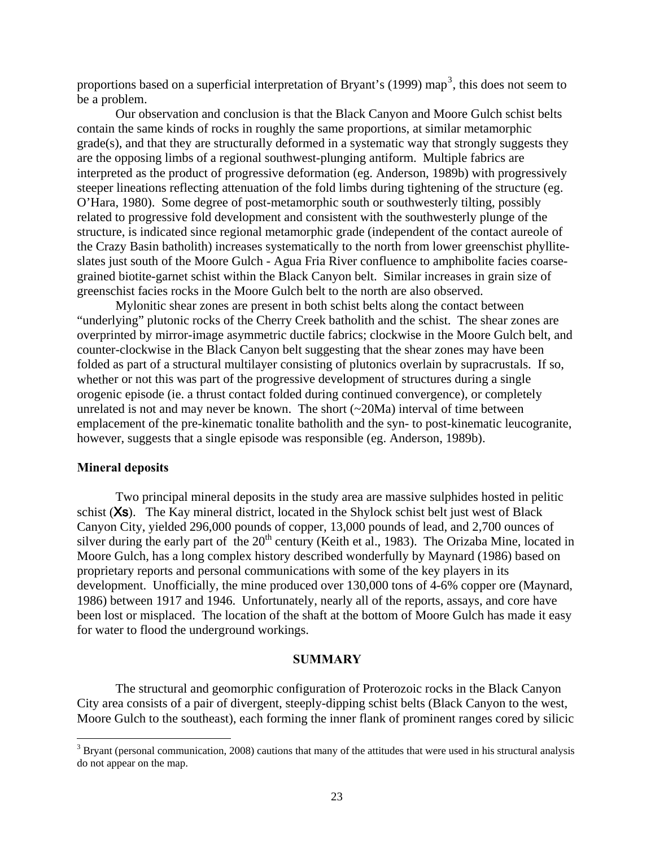proportions based on a superficial interpretation of Bryant's (1999) map<sup>3</sup>, this does not seem to be a problem.

Our observation and conclusion is that the Black Canyon and Moore Gulch schist be lts contain the same kinds of rocks in roughly the same proportions, at similar metamorphic grade(s), and that they are structurally deformed in a systematic way that strongly suggests they are the opposing limbs of a regional southwest-plunging antiform. Multiple fabrics are interpreted as the product of progressive deformation (eg. Anderson, 1989b) with progressively steeper lineations reflecting attenuation of t he fold limbs during tightening of the structure (eg. O'Hara, 1980). Some degree of post-metamorphic south or southwesterly tilting, possibly related to progressive fold development and consistent with the southwesterly plunge of the structure, is indicated since regional metamorphic grade (independent of the contact aureole of the Cra zy Basin batholith) increases systematically to the north from lower greenschist phylliteslates just south of the Moore Gulch - Agua Fria River confluence to amphibolite facies coarsegrained biotite-garnet schist within the Black Canyon belt. Similar increases in grain size of greenschist facies rocks in the Moore Gulch belt to the north are also observed.

overprinted by mirror-image asymmetric ductile fabrics; clockwise in the Moore Gulch belt, and counter-clockwise in the Black Canyon belt suggesting that the shear zones may have been folded as part of a structural multilayer consisting of plutonics overlain by supracrustals. If so, whethe r or not this was part of the progressive development of structures during a single Mylonitic shear zones are present in both schist belts along the contact between "underlying" plutonic rocks of the Cherry Creek batholith and the schist. The shear zones are orogenic episode (ie. a thrust contact folded during continued convergence), or completely unrelated is not and may never be known. The short  $(\sim 20$ Ma) interval of time between emplacement of the pre-kinematic tonalite batholith and the syn- to post-kinematic leucogranite, however, suggests that a single episode was responsible (eg. Anderson, 1989b).

#### **Mineral deposits**

Moore Gulch, has a long complex history described wonderfully by Maynard (1986) based on development. Unofficially, the mine produced over 130,000 tons of 4-6% copper ore (Maynard, 1986) between 1917 and 1946. Unfortunately, nearly all of the reports, assays, and core have been lost or misplaced. The location of the shaft at the bottom of Moore Gulch has made it easy Two principal mineral deposits in the study area are massive sulphides hosted in pelitic schist  $(Xs)$ . The Kay mineral district, located in the Shylock schist belt just west of Black Canyon City, yielded 296,000 pounds of copper, 13,000 pounds of lead, and 2,700 ounces of silver during the early part of the  $20<sup>th</sup>$  century (Keith et al., 1983). The Orizaba Mine, located in proprietary reports and personal communications with some of the key players in its for water to flood the underground workings.

## **SUMMARY**

The structural and geomorphic configuration of Proterozoic rocks in the Black Canyon City area consists of a pair of divergent, steeply-dipping schist belts (Black Canyon to the west, Moore Gulch to the southeast), each forming the inner flank of prominent ranges cored by silicic

<sup>&</sup>lt;sup>3</sup> Bryant (personal communication, 2008) cautions that many of the attitudes that were used in his structural analysis do not appear on t he map.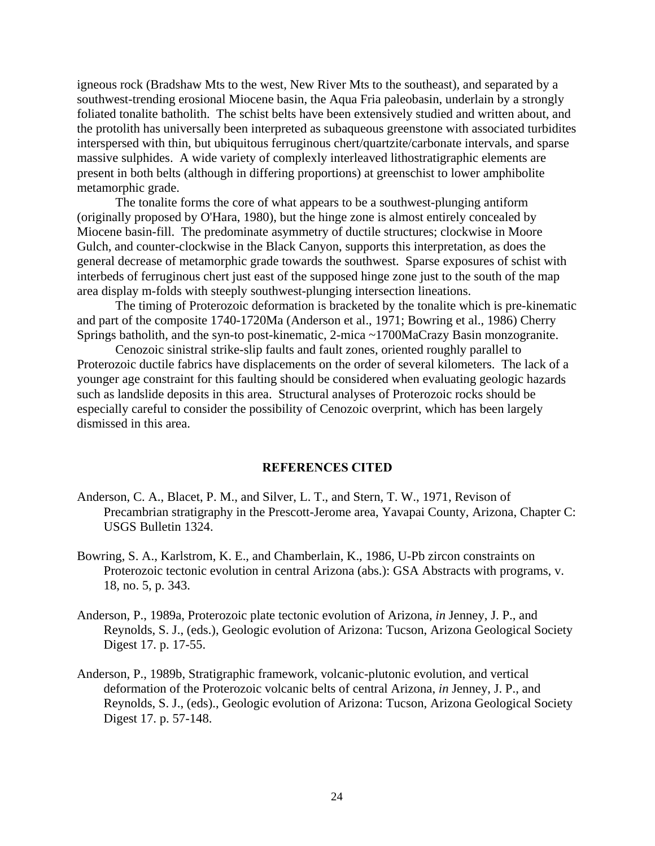igneous rock (Bradshaw Mts to the west, New River Mts to the southeast), and separated by a southwest-trending erosional Miocene basin, the Aqua Fria paleobasin, underlain by a strongly foliated tonalite batholith. The schist belts have been extensively studied and written about, and the protolith has universally been interpreted as subaqueous greenstone with associated turbidites massive sulphides. A wide variety of complexly interleaved lithostratigraphic elements are interspersed with thin, but ubiquitous ferruginous chert/quartzite/carbonate intervals, and sparse present in both belts (although in differing proportions) at greenschist to lower amphibolite metamorphic grade.

The tonalite forms the core of what appears to be a southwest-plunging antiform (originally proposed by O'Hara, 1980), but the hinge zone is almost entirely concealed by Miocene basin-fill. The predominate asymmetry of ductile structures; clockwise in Moore Gulch, and counter-clockwise in the Black Canyon, supports this interpretation, as does the general decrease of metamorphic grade towards the southwest. Sparse exposures of schist with interbeds of ferruginous chert just east of the supposed hinge zone just to the south of the map area display m-folds with steeply southwest-plunging intersection lineations.

The timing of Proterozoic deformation is bracketed by the tonalite which is pre-kinematic and part of the composite 1740-1720Ma (Anderson et al., 1971; Bowring et al., 1986) Cherry Springs batholith, and the syn-to post-kinematic, 2-mica ~1700MaCrazy Basin monzogranite.

younger age constraint for this faulting should be considered when evaluating geologic hazards especially careful to consider the possibility of Cenozoic overprint, which has been largely Cenozoic sinistral strike-slip faults and fault zones, oriented roughly parallel to Proterozoic ductile fabrics have displacements on the order of several kilometers. The lack of a such as landslide deposits in this area. Structural analyses of Proterozoic rocks should be dismissed in this area.

#### **REFERENCES CITED**

- Anders on, C. A., Blacet, P. M., and Silver, L. T., and Stern, T. W., 1971, Revison of Precambrian stratigraphy in the Prescott-Jerome area, Yavapai County, Arizona, Chapter C: USGS Bulletin 1324.
- Proterozoic tectonic evolution in central Arizona (abs.): GSA Abstracts with programs, v. Bowring, S. A., Karlstrom, K. E., and Chamberlain, K., 1986, U-Pb zircon constraints on 18, no. 5, p. 343.
- Reynolds, S. J., (eds.), Geologic evolution of Arizona: Tucson, Arizona Geological Society Digest 17. p. 17-55. Anderson, P., 1989a, Proterozoic plate tectonic evolution of Arizona, *in* Jenney, J. P., and
- Anderson, P., 1989b, Stratigraphic framework, volcanic-plutonic evolution, and vertical de formation of the Proterozoic volcanic belts of central Arizona, *in* Jenney, J. P., and Reynolds, S. J., (eds)., Geologic evolution of Arizona: Tucson, Arizona Geological Society Digest 17. p. 57-148.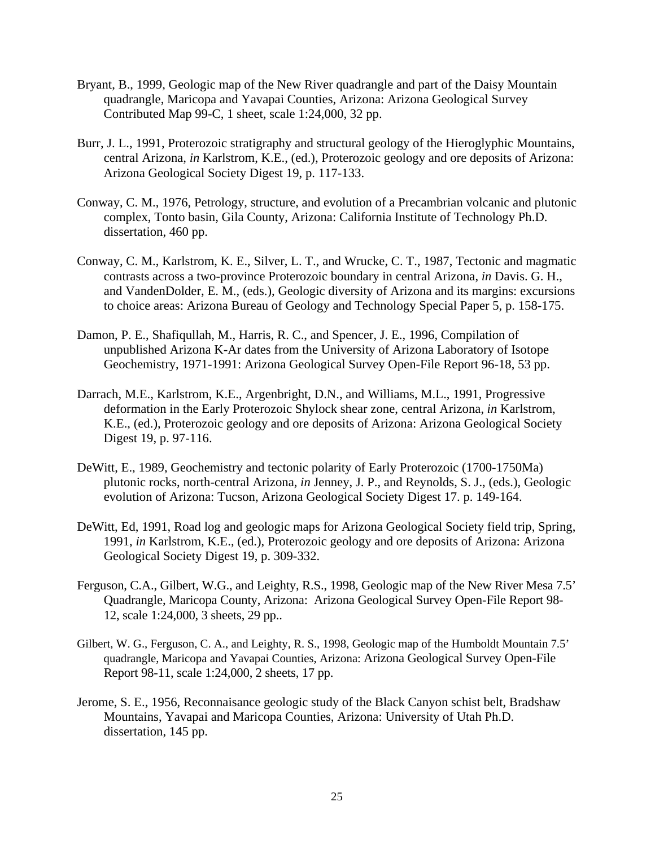- Bryant, B., 1999, Geologic map of the New River quadrangle and part of the Daisy Mountain quadrangle, Maricopa and Yavapai Counties, Arizona: Arizona Geological Survey Contributed Map 99-C, 1 sheet, scale 1:24,000, 32 pp.
- Burr, J. L., 1991, Proterozoic stratigraphy and structural geology of the Hieroglyphic Mountains, central Arizona, *in* Karlstrom, K.E., (ed.), Proterozoic geology and ore deposits of Ariz ona: Arizona Geological Society Digest 19, p. 117-133.
- Conway, C. M., 1976, Petrology, structure, and evolution of a Precambrian volcanic and plutonic . complex, Tonto basin, Gila County, Arizona: California Institute of Technology Ph.D dissertation, 460 pp.
- and VandenDolder, E. M., (eds.), Geologic diversity of Arizona and its margins: excursions to choice areas: Arizona Bureau of Geology and Technology Special Paper 5, p. 158-175. Conway, C. M., Karlstrom, K. E., Silver, L. T., and Wrucke, C. T., 1987, Tectonic and magmatic contrasts across a two-province Proterozoic boundary in central Arizona, *in* Davis. G. H.,
- unpublished Arizona K-Ar dates from the University of Arizona Laboratory of Isotope Damon, P. E., Shafiqullah, M., Harris, R. C., and Spencer, J. E., 1996, Compilation of Geochemistry, 1971-1991: Arizona Geological Survey Open-File Report 96-18, 53 pp.
- deformation in the Early Proterozoic Shylock shear zone, central Arizona, in Karlstrom, K.E., (ed.), Proterozoic geology and ore deposits of Arizona: Arizona Geological Society Digest 19, p. 97-116. Darrach, M.E., Karlstrom, K.E., Argenbright, D.N., and Williams, M.L., 1991, Progressive
- DeWitt, E., 1989, Geochemistry and tectonic polarity of Early Proterozoic (1700-1750Ma) plutonic rocks, north-central Arizona, *in* Jenney, J. P., and Reynolds, S. J., (eds.), Geologic . evolution of Arizona: Tucson, Arizona Geological Society Digest 17. p. 149-164
- DeWitt, Ed, 1991, Road log and geologic maps for Arizona Geological Society field trip, Spring, 1991, *in* Karlstrom, K.E., (ed.), Proterozoic geology and ore deposits of Arizona: Arizona Geological Society Digest 19, p. 309-332.
- Ferguson, C.A., Gilbert, W.G., and Leighty, R.S., 1998, Geologic map of the New River Mesa 7.5' Quadrangle, Maricopa County, Arizona: Arizona Geological Survey Open-File Report 98- 12, scale 1:24,000, 3 sheets, 29 pp..
- Gilbert, W. G., Ferguson, C. A., and Leighty, R. S., 1998, Geologic map of the Humboldt Mountain 7.5' quadrangle, Maricopa and Yavapai Counties, Arizona: Arizona Geological Survey Open-File Report 98-11, scale 1:24,000, 2 sheets, 17 pp.
- Jerom e, S. E., 1956, Reconnaisance geologic study of the Black Canyon schist belt, Bradshaw Mountains, Yavapai and Maricopa Counties, Arizona: University of Utah Ph.D. dissertation, 145 pp.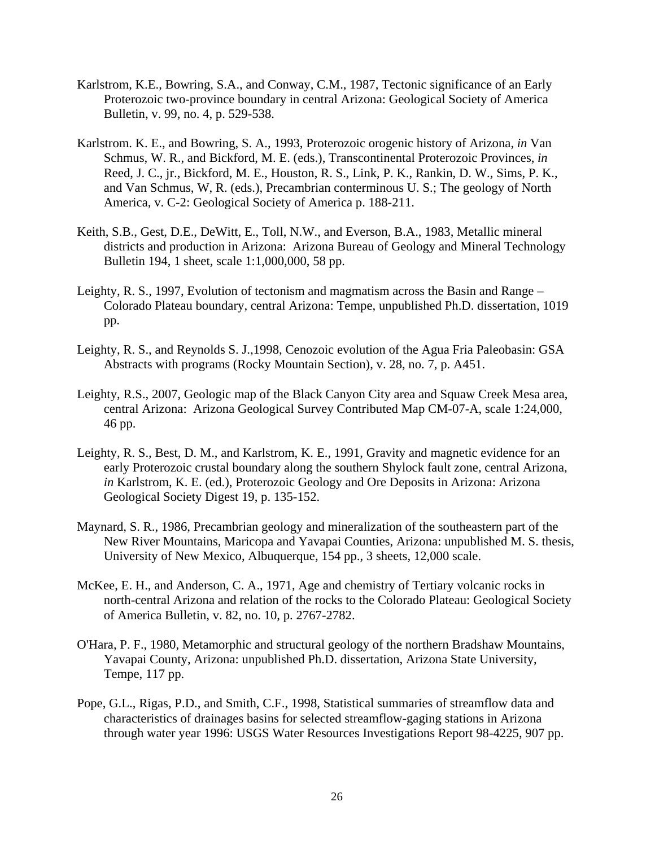- Karlstrom, K.E., Bowring, S.A., and Conway, C.M., 1987, Tectonic significance of an Early Proterozoic two-province boundary in central Arizona: Geological Society of Amer ica Bulletin, v. 99, no. 4, p. 529-538.
- Reed, J. C., jr., Bickford, M. E., Houston, R. S., Link, P. K., Rankin, D. W., Sims, P. K., and Van Schmus, W, R. (eds.), Precambrian conterminous U. S.; The geology of North Karlstrom. K. E., and Bowring, S. A., 1993, Proterozoic orogenic history of Arizona, *in* Van Schmus, W. R., and Bickford, M. E. (eds.), Transcontinental Proterozoic Provinces, *in*  America, v. C-2: Geological Society of America p. 188-211.
- Keith, S.B., Gest, D.E., DeWitt, E., Toll, N.W., and Everson, B.A., 1983, Metallic mineral districts and production in Arizona: Arizona Bureau of Geology and Mineral Technology Bulletin 194, 1 sheet, scale 1:1,000,000, 58 pp.
- Leig hty, R. S., 1997, Evolution of tectonism and magmatism across the Basin and Range pp. Colorado Plateau boundary, central Arizona: Tempe, unpublished Ph.D. dissertation, 1019
- Leighty, R. S., and Reynolds S. J., 1998, Cenozoic evolution of the Agua Fria Paleobasin: GSA Abstracts with programs (Rocky Mountain Section), v. 28, no. 7, p. A451.
- Leighty, R.S., 2007, Geologic map of the Black Canyon City area and Squaw Creek Mesa area, central Arizona: Arizona Geological Survey Contributed Map CM-07-A, scale 1:24,000, 46 pp.
- Leighty, R. S., Best, D. M., and Karlstrom, K. E., 1991, Gravity and magnetic evidence for an early Proterozoic crustal boundary along the southern Shylock fault zone, central Arizona, *in* Karlstrom, K. E. (ed.), Proterozoic Geology and Ore Deposits in Arizona: Arizona Geological Society Digest 19, p. 135-152.
- New River Mountains, Maricopa and Yavapai Counties, Arizona: unpublished M. S. thesis, University of New Mexico, Albuquerque, 154 pp., 3 sheets, 12,000 scale. Maynard, S. R., 1986, Precambrian geology and mineralization of the southeastern part of the
- north-central Arizona and relation of the rocks to the Colorado Plateau: Geological Society of America Bulletin, v. 82, no. 10, p. 2767-2782. McKee, E. H., and Anderson, C. A., 1971, Age and chemistry of Tertiary volcanic rocks in
- O'Hara, P. F., 1980, Metamorphic and structural geology of the northern Bradshaw Mountains, Yavapai County, Arizona: unpublished Ph.D. dissertation, Arizona State University, Tempe, 117 pp.
- characteristics of drainages basins for selected streamflow-gaging stations in Arizona through water year 1996: USGS Water Resources Investigations Report 98-4225, 907 pp. Pope, G.L., Rigas, P.D., and Smith, C.F., 1998, Statistical summaries of streamflow data and